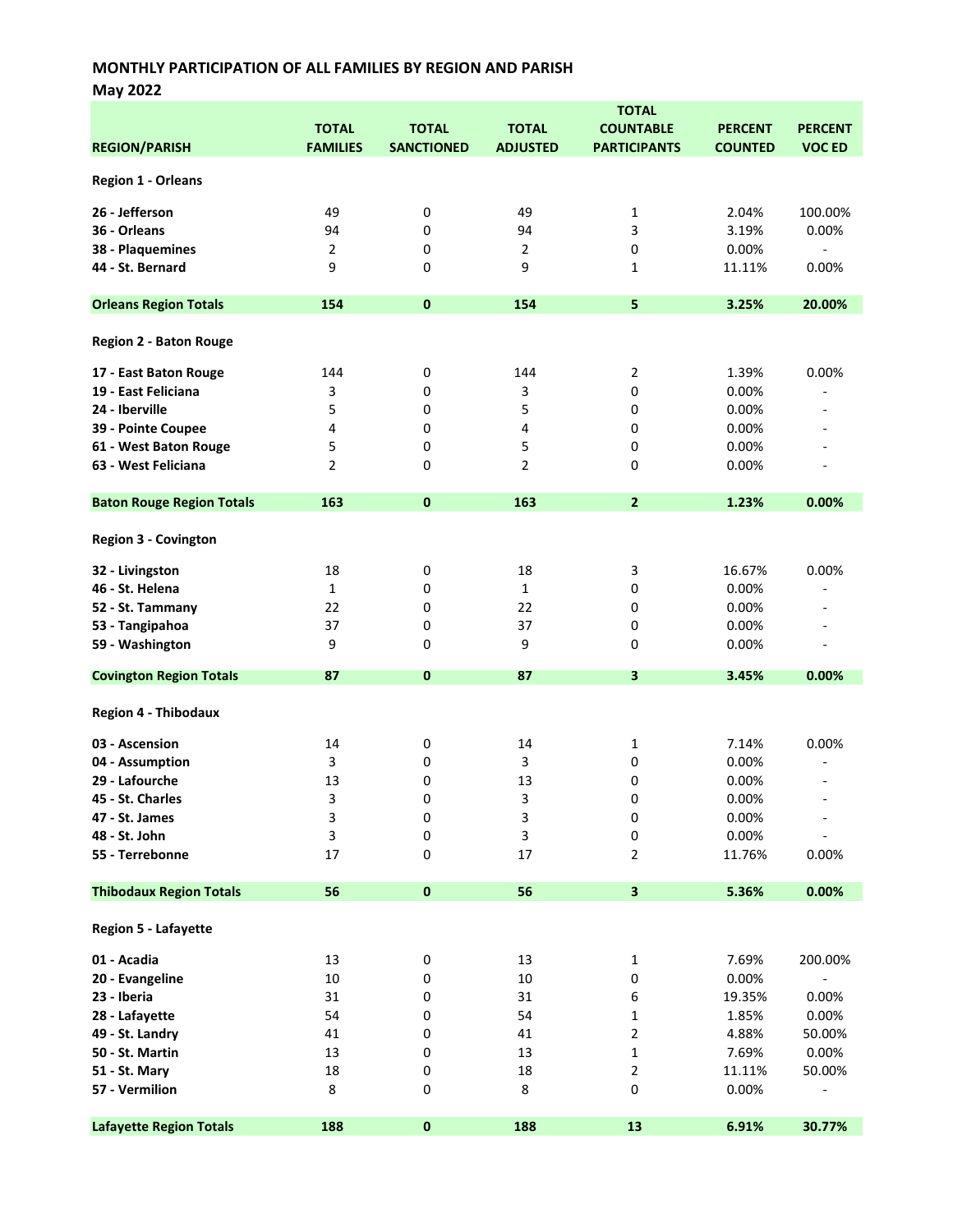May 2022

|                                  | <b>TOTAL</b>    |                   |                 |                         |                |                          |  |
|----------------------------------|-----------------|-------------------|-----------------|-------------------------|----------------|--------------------------|--|
|                                  | <b>TOTAL</b>    | <b>TOTAL</b>      | <b>TOTAL</b>    | <b>COUNTABLE</b>        | <b>PERCENT</b> | <b>PERCENT</b>           |  |
| <b>REGION/PARISH</b>             | <b>FAMILIES</b> | <b>SANCTIONED</b> | <b>ADJUSTED</b> | <b>PARTICIPANTS</b>     | <b>COUNTED</b> | <b>VOC ED</b>            |  |
|                                  |                 |                   |                 |                         |                |                          |  |
| <b>Region 1 - Orleans</b>        |                 |                   |                 |                         |                |                          |  |
| 26 - Jefferson                   | 49              | 0                 | 49              | 1                       | 2.04%          | 100.00%                  |  |
| 36 - Orleans                     | 94              | 0                 | 94              | 3                       | 3.19%          | 0.00%                    |  |
| 38 - Plaquemines                 | $\overline{2}$  | 0                 | $\overline{2}$  | 0                       | 0.00%          | $\overline{\phantom{a}}$ |  |
|                                  | 9               |                   |                 |                         |                |                          |  |
| 44 - St. Bernard                 |                 | 0                 | 9               | 1                       | 11.11%         | $0.00\%$                 |  |
| <b>Orleans Region Totals</b>     | 154             | $\pmb{0}$         | 154             | 5                       | 3.25%          | 20.00%                   |  |
|                                  |                 |                   |                 |                         |                |                          |  |
| <b>Region 2 - Baton Rouge</b>    |                 |                   |                 |                         |                |                          |  |
| 17 - East Baton Rouge            | 144             | 0                 | 144             | $\overline{2}$          | 1.39%          | 0.00%                    |  |
| 19 - East Feliciana              | 3               | 0                 | 3               | 0                       | 0.00%          | $\overline{\phantom{a}}$ |  |
| 24 - Iberville                   | 5               | 0                 | 5               | 0                       | 0.00%          |                          |  |
|                                  |                 |                   |                 |                         |                |                          |  |
| 39 - Pointe Coupee               | 4               | $\pmb{0}$         | $\pmb{4}$       | 0                       | 0.00%          |                          |  |
| 61 - West Baton Rouge            | 5               | 0                 | 5               | 0                       | 0.00%          |                          |  |
| 63 - West Feliciana              | $\overline{2}$  | 0                 | $\overline{2}$  | 0                       | 0.00%          |                          |  |
| <b>Baton Rouge Region Totals</b> | 163             | $\mathbf{0}$      | 163             | $\overline{2}$          | 1.23%          | 0.00%                    |  |
|                                  |                 |                   |                 |                         |                |                          |  |
| <b>Region 3 - Covington</b>      |                 |                   |                 |                         |                |                          |  |
| 32 - Livingston                  | 18              | 0                 | 18              | 3                       | 16.67%         | 0.00%                    |  |
| 46 - St. Helena                  | $\mathbf{1}$    | 0                 | $\mathbf{1}$    | 0                       | 0.00%          | $\overline{a}$           |  |
|                                  |                 |                   |                 |                         |                |                          |  |
| 52 - St. Tammany                 | 22              | 0                 | 22              | 0                       | 0.00%          |                          |  |
| 53 - Tangipahoa                  | 37              | 0                 | 37              | 0                       | 0.00%          |                          |  |
| 59 - Washington                  | 9               | 0                 | 9               | 0                       | 0.00%          | $\blacksquare$           |  |
| <b>Covington Region Totals</b>   | 87              | $\mathbf 0$       | 87              | 3                       | 3.45%          | 0.00%                    |  |
| <b>Region 4 - Thibodaux</b>      |                 |                   |                 |                         |                |                          |  |
|                                  | 14              |                   | 14              |                         | 7.14%          | 0.00%                    |  |
| 03 - Ascension                   |                 | 0                 |                 | $\mathbf{1}$            |                |                          |  |
| 04 - Assumption                  | 3               | 0                 | 3               | 0                       | 0.00%          |                          |  |
| 29 - Lafourche                   | 13              | 0                 | 13              | 0                       | 0.00%          | $\overline{\phantom{a}}$ |  |
| 45 - St. Charles                 | 3               | 0                 | 3               | 0                       | 0.00%          |                          |  |
| 47 - St. James                   | 3               | 0                 | 3               | 0                       | 0.00%          |                          |  |
| 48 - St. John                    | 3               | 0                 | 3               | 0                       | 0.00%          |                          |  |
| 55 - Terrebonne                  | 17              | 0                 | 17              | 2                       | 11.76%         | 0.00%                    |  |
| <b>Thibodaux Region Totals</b>   | 56              | $\pmb{0}$         | 56              | $\overline{\mathbf{3}}$ | 5.36%          | 0.00%                    |  |
|                                  |                 |                   |                 |                         |                |                          |  |
| Region 5 - Lafayette             |                 |                   |                 |                         |                |                          |  |
| 01 - Acadia                      | 13              | $\pmb{0}$         | 13              | 1                       | 7.69%          | 200.00%                  |  |
| 20 - Evangeline                  | $10\,$          | 0                 | $10\,$          | 0                       | 0.00%          |                          |  |
| 23 - Iberia                      | 31              | 0                 | 31              | 6                       | 19.35%         | 0.00%                    |  |
| 28 - Lafayette                   | 54              | 0                 | 54              | 1                       | 1.85%          | 0.00%                    |  |
| 49 - St. Landry                  | 41              | 0                 | 41              | 2                       | 4.88%          | 50.00%                   |  |
|                                  |                 |                   |                 |                         |                |                          |  |
| 50 - St. Martin                  | 13              | 0                 | 13              | 1                       | 7.69%          | 0.00%                    |  |
| 51 - St. Mary                    | 18              | 0                 | 18              | 2                       | 11.11%         | 50.00%                   |  |
| 57 - Vermilion                   | 8               | 0                 | 8               | 0                       | 0.00%          |                          |  |
| <b>Lafayette Region Totals</b>   | 188             | $\pmb{0}$         | 188             | 13                      | 6.91%          | 30.77%                   |  |
|                                  |                 |                   |                 |                         |                |                          |  |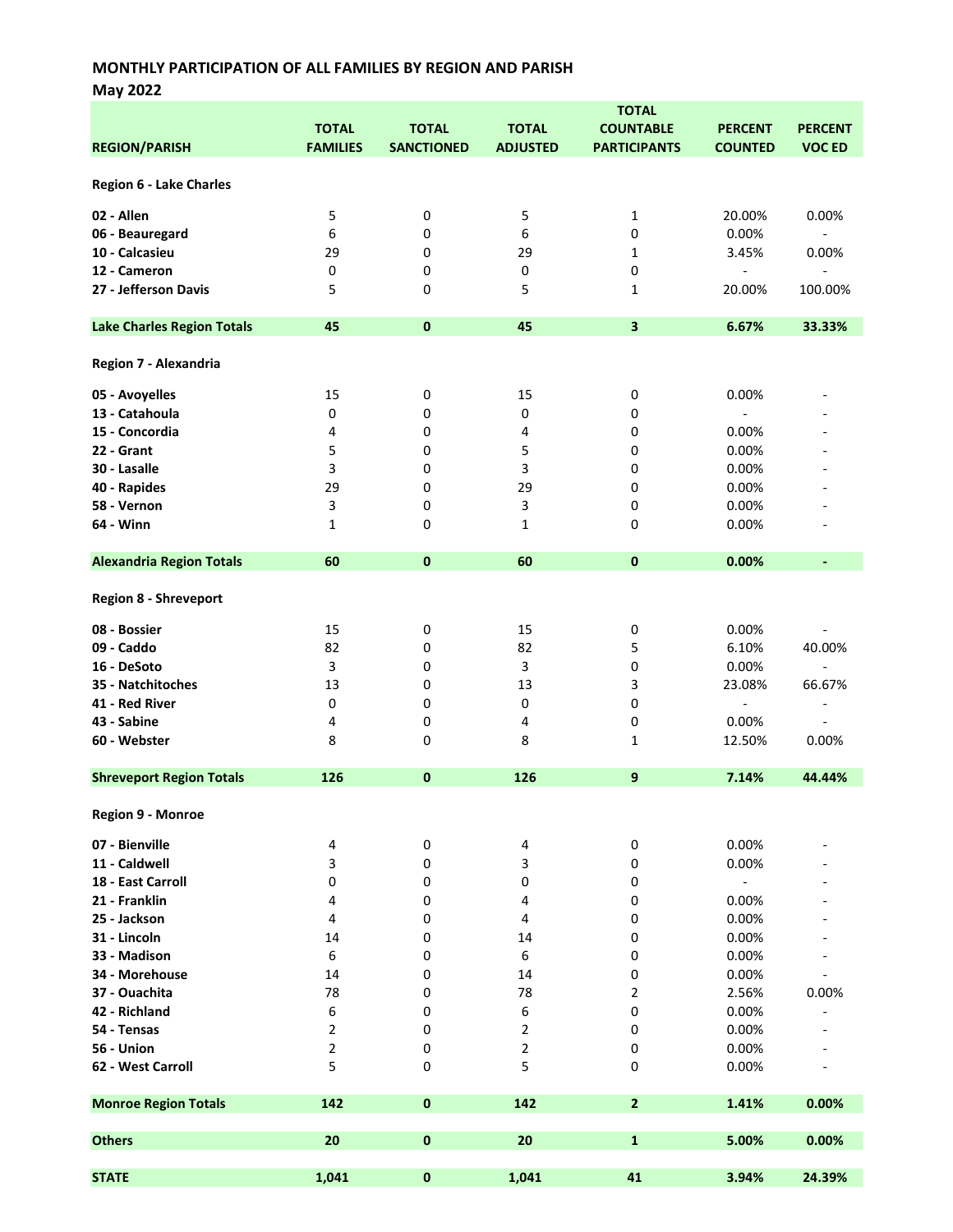May 2022

|                                   |                 |                   |                         | <b>TOTAL</b>            |                          |                          |
|-----------------------------------|-----------------|-------------------|-------------------------|-------------------------|--------------------------|--------------------------|
|                                   | <b>TOTAL</b>    | <b>TOTAL</b>      | <b>TOTAL</b>            | <b>COUNTABLE</b>        | <b>PERCENT</b>           | <b>PERCENT</b>           |
| <b>REGION/PARISH</b>              | <b>FAMILIES</b> | <b>SANCTIONED</b> | <b>ADJUSTED</b>         | <b>PARTICIPANTS</b>     | <b>COUNTED</b>           | <b>VOC ED</b>            |
|                                   |                 |                   |                         |                         |                          |                          |
| Region 6 - Lake Charles           |                 |                   |                         |                         |                          |                          |
|                                   |                 |                   |                         |                         |                          |                          |
| 02 - Allen                        | 5               | 0                 | 5                       | 1                       | 20.00%                   | 0.00%                    |
| 06 - Beauregard                   | 6               | 0                 | 6                       | $\pmb{0}$               | 0.00%                    | $\blacksquare$           |
| 10 - Calcasieu                    | 29              | 0                 | 29                      | 1                       | 3.45%                    | 0.00%                    |
| 12 - Cameron                      | 0               | 0                 |                         | $\pmb{0}$               | $\overline{a}$           | $\overline{\phantom{a}}$ |
|                                   |                 |                   | 0                       |                         |                          |                          |
| 27 - Jefferson Davis              | 5               | 0                 | 5                       | 1                       | 20.00%                   | 100.00%                  |
|                                   |                 |                   |                         |                         |                          |                          |
| <b>Lake Charles Region Totals</b> | 45              | $\pmb{0}$         | 45                      | $\overline{\mathbf{3}}$ | 6.67%                    | 33.33%                   |
|                                   |                 |                   |                         |                         |                          |                          |
| Region 7 - Alexandria             |                 |                   |                         |                         |                          |                          |
|                                   |                 |                   |                         |                         |                          |                          |
| 05 - Avoyelles                    | 15              | 0                 | 15                      | 0                       | 0.00%                    |                          |
| 13 - Catahoula                    | 0               | 0                 | $\pmb{0}$               | 0                       |                          |                          |
| 15 - Concordia                    | 4               | 0                 | 4                       | 0                       | 0.00%                    |                          |
| 22 - Grant                        | 5               | 0                 | 5                       | 0                       | 0.00%                    |                          |
| 30 - Lasalle                      | 3               | 0                 | 3                       | 0                       | 0.00%                    |                          |
| 40 - Rapides                      | 29              | 0                 | 29                      | 0                       | 0.00%                    |                          |
| 58 - Vernon                       | 3               | 0                 | 3                       | 0                       | 0.00%                    |                          |
| 64 - Winn                         | $\mathbf{1}$    | 0                 | 1                       | 0                       | 0.00%                    |                          |
|                                   |                 |                   |                         |                         |                          |                          |
| <b>Alexandria Region Totals</b>   | 60              | $\pmb{0}$         | 60                      | $\mathbf 0$             | 0.00%                    | ٠                        |
|                                   |                 |                   |                         |                         |                          |                          |
|                                   |                 |                   |                         |                         |                          |                          |
| <b>Region 8 - Shreveport</b>      |                 |                   |                         |                         |                          |                          |
| 08 - Bossier                      | 15              | 0                 | 15                      | $\pmb{0}$               | 0.00%                    |                          |
| 09 - Caddo                        | 82              | 0                 | 82                      | 5                       | 6.10%                    | 40.00%                   |
| 16 - DeSoto                       | 3               | 0                 | $\mathbf{3}$            |                         | 0.00%                    | $\overline{\phantom{0}}$ |
|                                   |                 |                   |                         | 0                       |                          |                          |
| 35 - Natchitoches                 | 13              | 0                 | 13                      | 3                       | 23.08%                   | 66.67%                   |
| 41 - Red River                    | 0               | 0                 | 0                       | 0                       | $\overline{\phantom{a}}$ | $\overline{\phantom{a}}$ |
| 43 - Sabine                       | 4               | 0                 | 4                       | 0                       | 0.00%                    | $\overline{\phantom{a}}$ |
| 60 - Webster                      | 8               | 0                 | 8                       | 1                       | 12.50%                   | 0.00%                    |
|                                   |                 |                   |                         |                         |                          |                          |
| <b>Shreveport Region Totals</b>   | 126             | $\pmb{0}$         | 126                     | 9                       | 7.14%                    | 44.44%                   |
|                                   |                 |                   |                         |                         |                          |                          |
| Region 9 - Monroe                 |                 |                   |                         |                         |                          |                          |
|                                   |                 |                   |                         |                         |                          |                          |
| 07 - Bienville                    | 4               | 0                 | 4                       | $\pmb{0}$               | 0.00%                    |                          |
| 11 - Caldwell                     | 3               | 0                 | 3                       | 0                       | 0.00%                    |                          |
| 18 - East Carroll                 | 0               | 0                 | 0                       | 0                       | $\blacksquare$           |                          |
| 21 - Franklin                     | 4               | $\pmb{0}$         | 4                       | 0                       | 0.00%                    |                          |
| 25 - Jackson                      | 4               | 0                 | 4                       | 0                       | 0.00%                    |                          |
| 31 - Lincoln                      | 14              | 0                 | 14                      | 0                       | 0.00%                    |                          |
| 33 - Madison                      | 6               | 0                 | 6                       | 0                       | 0.00%                    |                          |
| 34 - Morehouse                    | 14              | 0                 | 14                      | 0                       | 0.00%                    |                          |
| 37 - Ouachita                     | 78              | 0                 | 78                      | 2                       | 2.56%                    | 0.00%                    |
| 42 - Richland                     | 6               | 0                 | 6                       | 0                       | 0.00%                    |                          |
|                                   |                 |                   |                         |                         |                          |                          |
| 54 - Tensas                       | 2               | 0                 | $\mathbf 2$             | 0                       | 0.00%                    |                          |
| 56 - Union                        | 2               | 0                 | $\overline{\mathbf{c}}$ | 0                       | 0.00%                    |                          |
| 62 - West Carroll                 | 5               | 0                 | 5                       | 0                       | 0.00%                    |                          |
|                                   |                 |                   |                         |                         |                          |                          |
| <b>Monroe Region Totals</b>       | 142             | $\pmb{0}$         | 142                     | $\overline{\mathbf{2}}$ | 1.41%                    | 0.00%                    |
|                                   |                 |                   |                         |                         |                          |                          |
| <b>Others</b>                     | 20              | $\pmb{0}$         | 20                      | $\mathbf{1}$            | 5.00%                    | 0.00%                    |
|                                   |                 |                   |                         |                         |                          |                          |
| <b>STATE</b>                      | 1,041           | $\pmb{0}$         | 1,041                   | 41                      | 3.94%                    | 24.39%                   |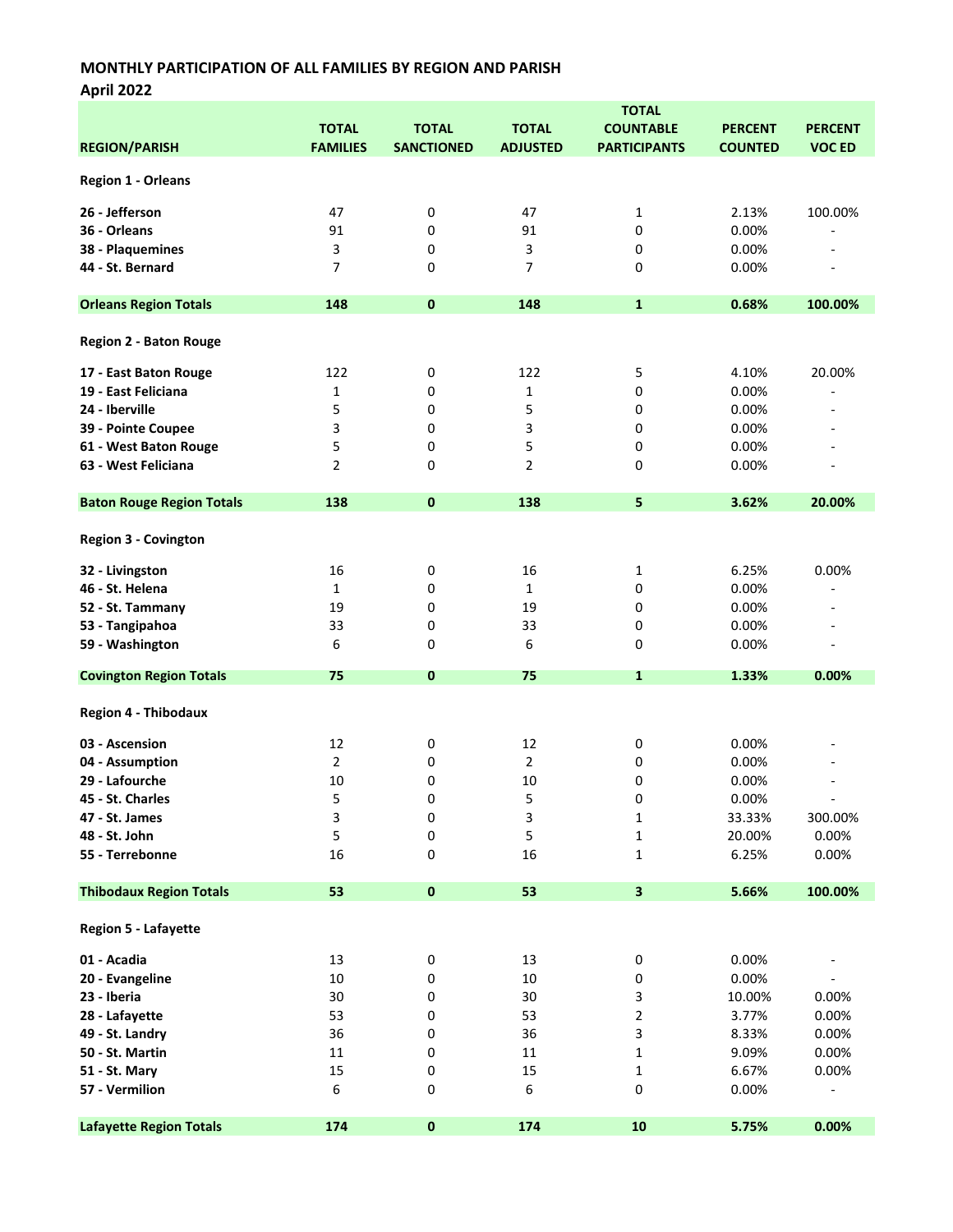April 2022

|                                  | <b>TOTAL</b>    |                   |                 |                         |                |                          |  |
|----------------------------------|-----------------|-------------------|-----------------|-------------------------|----------------|--------------------------|--|
|                                  | <b>TOTAL</b>    | <b>TOTAL</b>      | <b>TOTAL</b>    | <b>COUNTABLE</b>        | <b>PERCENT</b> | <b>PERCENT</b>           |  |
| <b>REGION/PARISH</b>             | <b>FAMILIES</b> | <b>SANCTIONED</b> | <b>ADJUSTED</b> | <b>PARTICIPANTS</b>     | <b>COUNTED</b> | <b>VOC ED</b>            |  |
|                                  |                 |                   |                 |                         |                |                          |  |
| <b>Region 1 - Orleans</b>        |                 |                   |                 |                         |                |                          |  |
| 26 - Jefferson                   | 47              | 0                 | 47              | $\mathbf{1}$            | 2.13%          | 100.00%                  |  |
| 36 - Orleans                     | 91              | 0                 | 91              | 0                       | 0.00%          |                          |  |
| 38 - Plaquemines                 | 3               | 0                 | 3               | 0                       | 0.00%          |                          |  |
|                                  |                 |                   |                 |                         |                |                          |  |
| 44 - St. Bernard                 | 7               | 0                 | 7               | 0                       | 0.00%          | $\overline{\phantom{a}}$ |  |
|                                  |                 |                   |                 |                         |                |                          |  |
| <b>Orleans Region Totals</b>     | 148             | $\bf{0}$          | 148             | $\mathbf{1}$            | 0.68%          | 100.00%                  |  |
| <b>Region 2 - Baton Rouge</b>    |                 |                   |                 |                         |                |                          |  |
| 17 - East Baton Rouge            | 122             | 0                 | 122             | 5                       | 4.10%          | 20.00%                   |  |
| 19 - East Feliciana              | 1               | 0                 | 1               | 0                       | 0.00%          |                          |  |
|                                  |                 |                   |                 |                         |                |                          |  |
| 24 - Iberville                   | 5               | 0                 | 5               | 0                       | 0.00%          |                          |  |
| 39 - Pointe Coupee               | 3               | 0                 | 3               | 0                       | 0.00%          |                          |  |
| 61 - West Baton Rouge            | 5               | 0                 | 5               | 0                       | 0.00%          |                          |  |
| 63 - West Feliciana              | 2               | 0                 | 2               | 0                       | 0.00%          |                          |  |
|                                  |                 |                   |                 |                         |                |                          |  |
| <b>Baton Rouge Region Totals</b> | 138             | $\mathbf{0}$      | 138             | 5                       | 3.62%          | 20.00%                   |  |
|                                  |                 |                   |                 |                         |                |                          |  |
| <b>Region 3 - Covington</b>      |                 |                   |                 |                         |                |                          |  |
| 32 - Livingston                  | 16              | 0                 | 16              | 1                       | 6.25%          | 0.00%                    |  |
| 46 - St. Helena                  | $\mathbf{1}$    | 0                 | 1               | 0                       | 0.00%          | $\overline{a}$           |  |
| 52 - St. Tammany                 | 19              | 0                 | 19              | 0                       | 0.00%          |                          |  |
| 53 - Tangipahoa                  | 33              | 0                 | 33              | 0                       | 0.00%          |                          |  |
|                                  |                 |                   |                 |                         |                |                          |  |
| 59 - Washington                  | 6               | 0                 | 6               | 0                       | 0.00%          | $\overline{a}$           |  |
| <b>Covington Region Totals</b>   | 75              | $\mathbf 0$       | 75              | 1                       | 1.33%          | 0.00%                    |  |
| <b>Region 4 - Thibodaux</b>      |                 |                   |                 |                         |                |                          |  |
|                                  | 12              |                   | 12              |                         | 0.00%          |                          |  |
| 03 - Ascension                   |                 | 0                 |                 | 0                       |                |                          |  |
| 04 - Assumption                  | $\overline{2}$  | 0                 | 2               | 0                       | 0.00%          |                          |  |
| 29 - Lafourche                   | 10              | 0                 | 10              | 0                       | 0.00%          |                          |  |
| 45 - St. Charles                 | 5               | 0                 | 5               | 0                       | 0.00%          |                          |  |
| 47 - St. James                   | 3               | 0                 | 3               | $\mathbf{1}$            | 33.33%         | 300.00%                  |  |
| 48 - St. John                    | 5               | 0                 | 5               | $\mathbf{1}$            | 20.00%         | 0.00%                    |  |
| 55 - Terrebonne                  | 16              | 0                 | 16              | 1                       | 6.25%          | 0.00%                    |  |
|                                  |                 |                   |                 |                         |                |                          |  |
| <b>Thibodaux Region Totals</b>   | 53              | $\pmb{0}$         | 53              | $\overline{\mathbf{3}}$ | 5.66%          | 100.00%                  |  |
| Region 5 - Lafayette             |                 |                   |                 |                         |                |                          |  |
| 01 - Acadia                      | 13              | 0                 | 13              | 0                       | 0.00%          |                          |  |
|                                  | 10              |                   | $10\,$          |                         |                |                          |  |
| 20 - Evangeline                  |                 | 0                 |                 | 0                       | 0.00%          |                          |  |
| 23 - Iberia                      | 30              | 0                 | 30              | 3                       | 10.00%         | 0.00%                    |  |
| 28 - Lafayette                   | 53              | 0                 | 53              | 2                       | 3.77%          | 0.00%                    |  |
| 49 - St. Landry                  | 36              | 0                 | 36              | 3                       | 8.33%          | 0.00%                    |  |
| 50 - St. Martin                  | 11              | 0                 | 11              | $\mathbf{1}$            | 9.09%          | 0.00%                    |  |
| 51 - St. Mary                    | 15              | 0                 | 15              | $\mathbf{1}$            | 6.67%          | 0.00%                    |  |
| 57 - Vermilion                   | 6               | 0                 | 6               | 0                       | 0.00%          |                          |  |
|                                  |                 |                   |                 |                         |                |                          |  |
| <b>Lafayette Region Totals</b>   | 174             | $\pmb{0}$         | 174             | 10                      | 5.75%          | 0.00%                    |  |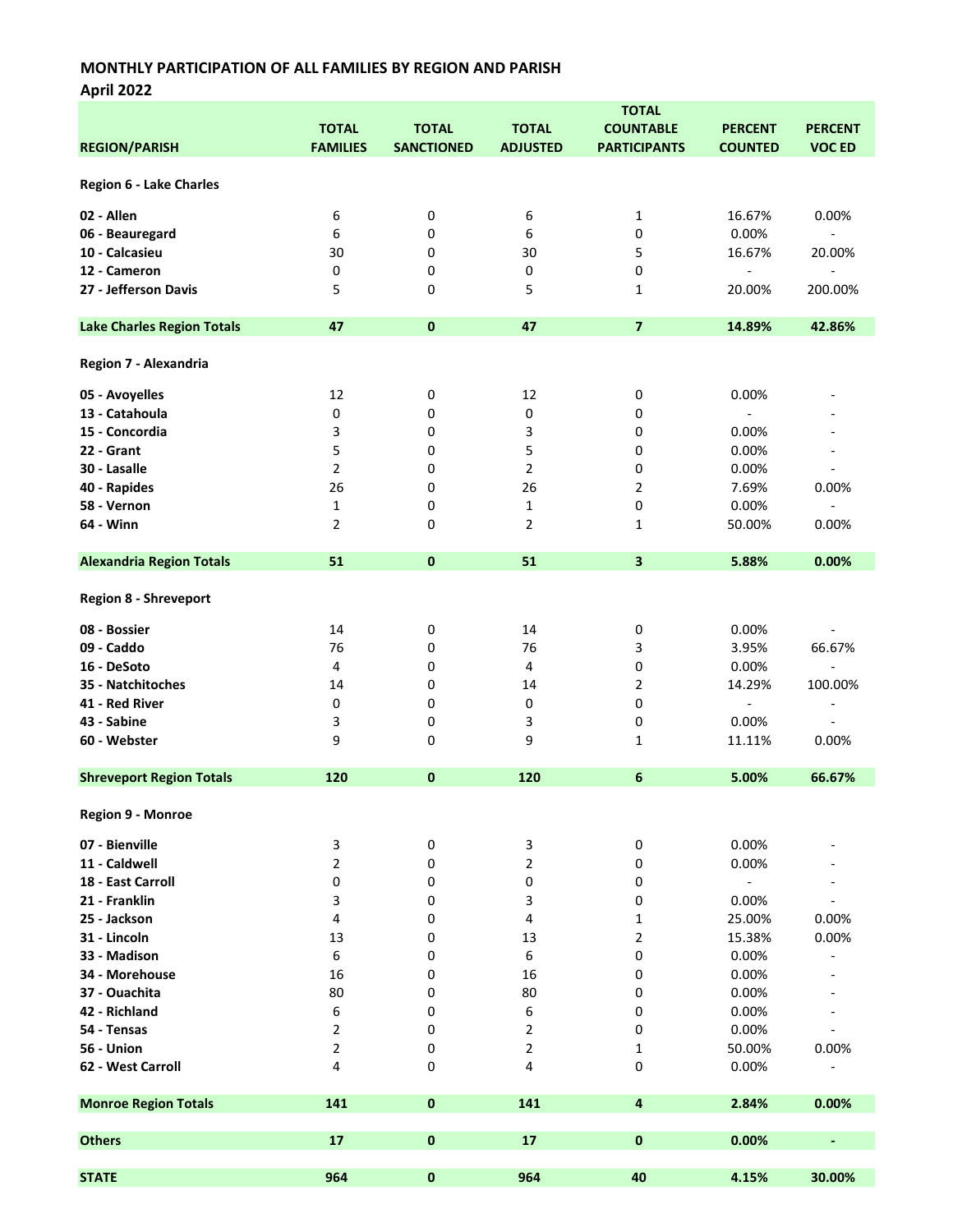|                                   | <b>TOTAL</b>            |                   |                 |                         |                              |                              |  |
|-----------------------------------|-------------------------|-------------------|-----------------|-------------------------|------------------------------|------------------------------|--|
|                                   | <b>TOTAL</b>            | <b>TOTAL</b>      | <b>TOTAL</b>    | <b>COUNTABLE</b>        | <b>PERCENT</b>               | <b>PERCENT</b>               |  |
| <b>REGION/PARISH</b>              | <b>FAMILIES</b>         | <b>SANCTIONED</b> | <b>ADJUSTED</b> | <b>PARTICIPANTS</b>     | <b>COUNTED</b>               | <b>VOC ED</b>                |  |
|                                   |                         |                   |                 |                         |                              |                              |  |
| Region 6 - Lake Charles           |                         |                   |                 |                         |                              |                              |  |
|                                   |                         |                   |                 |                         |                              |                              |  |
| 02 - Allen                        | 6                       | 0                 | 6               | 1                       | 16.67%                       | 0.00%                        |  |
| 06 - Beauregard                   | 6                       | 0                 | 6               | 0                       | 0.00%                        | $\frac{1}{2}$                |  |
| 10 - Calcasieu                    | 30                      | 0                 | 30              | 5                       | 16.67%                       | 20.00%                       |  |
| 12 - Cameron                      | 0                       | 0                 | 0               | 0                       | $\qquad \qquad \blacksquare$ | $\overline{a}$               |  |
| 27 - Jefferson Davis              |                         | 0                 |                 | 1                       | 20.00%                       | 200.00%                      |  |
|                                   | 5                       |                   | 5               |                         |                              |                              |  |
| <b>Lake Charles Region Totals</b> | 47                      | $\bf{0}$          | 47              | $\overline{\mathbf{z}}$ | 14.89%                       | 42.86%                       |  |
|                                   |                         |                   |                 |                         |                              |                              |  |
| Region 7 - Alexandria             |                         |                   |                 |                         |                              |                              |  |
|                                   |                         |                   |                 |                         |                              |                              |  |
| 05 - Avoyelles                    | 12                      | 0                 | 12              | 0                       | $0.00\%$                     |                              |  |
| 13 - Catahoula                    | 0                       | 0                 | 0               | 0                       | $\overline{\phantom{a}}$     |                              |  |
| 15 - Concordia                    | 3                       | 0                 | 3               | 0                       | 0.00%                        |                              |  |
| 22 - Grant                        | 5                       | 0                 | 5               | 0                       | 0.00%                        | $\overline{\phantom{a}}$     |  |
| 30 - Lasalle                      | $\overline{2}$          | 0                 | 2               | 0                       | 0.00%                        |                              |  |
| 40 - Rapides                      | 26                      | 0                 | 26              | 2                       | 7.69%                        | 0.00%                        |  |
| 58 - Vernon                       | $\mathbf 1$             | 0                 | 1               | 0                       | 0.00%                        |                              |  |
| 64 - Winn                         | $\overline{2}$          | 0                 | 2               | $\mathbf{1}$            | 50.00%                       | 0.00%                        |  |
|                                   |                         |                   |                 |                         |                              |                              |  |
| <b>Alexandria Region Totals</b>   | 51                      | 0                 | 51              | $\overline{\mathbf{3}}$ | 5.88%                        | 0.00%                        |  |
|                                   |                         |                   |                 |                         |                              |                              |  |
| <b>Region 8 - Shreveport</b>      |                         |                   |                 |                         |                              |                              |  |
|                                   |                         |                   |                 |                         |                              |                              |  |
| 08 - Bossier                      | 14                      | 0                 | 14              | 0                       | 0.00%                        | $\overline{\phantom{a}}$     |  |
| 09 - Caddo                        | 76                      | 0                 | 76              | 3                       | 3.95%                        | 66.67%                       |  |
| 16 - DeSoto                       | 4                       | 0                 | 4               | 0                       | 0.00%                        | $\overline{\phantom{a}}$     |  |
| 35 - Natchitoches                 | 14                      | 0                 | 14              | 2                       | 14.29%                       | 100.00%                      |  |
| 41 - Red River                    | 0                       | 0                 | 0               | 0                       | $\Box$                       | $\overline{\phantom{a}}$     |  |
| 43 - Sabine                       | 3                       | 0                 | 3               | 0                       | 0.00%                        | $\overline{\phantom{a}}$     |  |
| 60 - Webster                      | 9                       | 0                 | 9               | 1                       | 11.11%                       | 0.00%                        |  |
|                                   |                         |                   |                 |                         |                              |                              |  |
| <b>Shreveport Region Totals</b>   | 120                     | 0                 | 120             | 6                       | 5.00%                        | 66.67%                       |  |
|                                   |                         |                   |                 |                         |                              |                              |  |
| Region 9 - Monroe                 |                         |                   |                 |                         |                              |                              |  |
|                                   |                         |                   |                 |                         |                              |                              |  |
| 07 - Bienville                    | 3                       | 0                 | 3               | 0                       | 0.00%                        |                              |  |
| 11 - Caldwell                     | $\overline{2}$          | 0                 | 2               | 0                       | 0.00%                        |                              |  |
| 18 - East Carroll                 | 0                       | 0                 | 0               | 0                       | $\overline{\phantom{a}}$     |                              |  |
| 21 - Franklin                     | 3                       | 0                 | 3               | 0                       | 0.00%                        |                              |  |
| 25 - Jackson                      | 4                       | 0                 | 4               | 1                       | 25.00%                       | 0.00%                        |  |
| 31 - Lincoln                      | 13                      | 0                 | 13              | 2                       | 15.38%                       | 0.00%                        |  |
| 33 - Madison                      | 6                       | 0                 | 6               | 0                       | 0.00%                        |                              |  |
| 34 - Morehouse                    | 16                      | 0                 | 16              | 0                       | 0.00%                        |                              |  |
| 37 - Ouachita                     | 80                      | 0                 | 80              | 0                       | 0.00%                        |                              |  |
| 42 - Richland                     | 6                       | 0                 | 6               | 0                       | 0.00%                        |                              |  |
| 54 - Tensas                       |                         | 0                 |                 | 0                       | 0.00%                        |                              |  |
|                                   | 2                       |                   | 2               |                         |                              |                              |  |
| 56 - Union                        | $\overline{\mathbf{c}}$ | 0                 | 2               | 1                       | 50.00%                       | 0.00%                        |  |
| 62 - West Carroll                 | 4                       | 0                 | 4               | 0                       | 0.00%                        |                              |  |
| <b>Monroe Region Totals</b>       | 141                     | 0                 | 141             | 4                       | 2.84%                        | 0.00%                        |  |
|                                   |                         |                   |                 |                         |                              |                              |  |
| <b>Others</b>                     | 17                      | $\pmb{0}$         | 17              | $\pmb{0}$               | 0.00%                        | $\qquad \qquad \blacksquare$ |  |
|                                   |                         |                   |                 |                         |                              |                              |  |
| <b>STATE</b>                      | 964                     | 0                 | 964             | 40                      | 4.15%                        | 30.00%                       |  |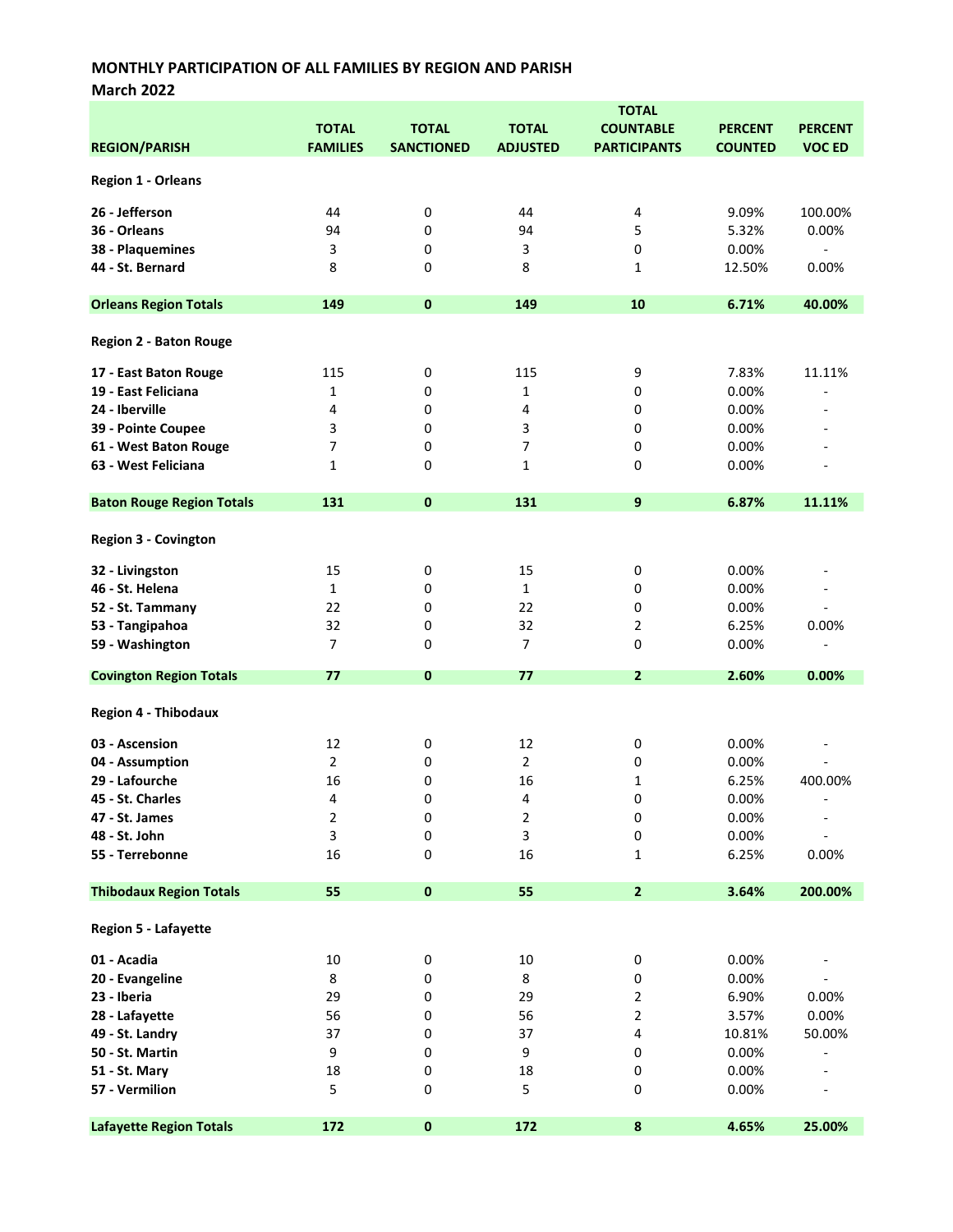March 2022

|                                  |                 |                   |                         | <b>TOTAL</b>        |                |                          |
|----------------------------------|-----------------|-------------------|-------------------------|---------------------|----------------|--------------------------|
|                                  | <b>TOTAL</b>    | <b>TOTAL</b>      | <b>TOTAL</b>            | <b>COUNTABLE</b>    | <b>PERCENT</b> | <b>PERCENT</b>           |
| <b>REGION/PARISH</b>             | <b>FAMILIES</b> | <b>SANCTIONED</b> | <b>ADJUSTED</b>         | <b>PARTICIPANTS</b> | <b>COUNTED</b> | <b>VOC ED</b>            |
|                                  |                 |                   |                         |                     |                |                          |
| <b>Region 1 - Orleans</b>        |                 |                   |                         |                     |                |                          |
| 26 - Jefferson                   | 44              | 0                 | 44                      | 4                   | 9.09%          | 100.00%                  |
|                                  |                 |                   |                         |                     |                |                          |
| 36 - Orleans                     | 94              | 0                 | 94                      | 5                   | 5.32%          | 0.00%                    |
| 38 - Plaquemines                 | 3               | 0                 | 3                       | 0                   | 0.00%          | $\overline{\phantom{a}}$ |
| 44 - St. Bernard                 | 8               | 0                 | 8                       | 1                   | 12.50%         | 0.00%                    |
| <b>Orleans Region Totals</b>     | 149             | $\mathbf 0$       | 149                     | 10                  | 6.71%          | 40.00%                   |
| <b>Region 2 - Baton Rouge</b>    |                 |                   |                         |                     |                |                          |
| 17 - East Baton Rouge            | 115             | 0                 | 115                     | 9                   | 7.83%          | 11.11%                   |
| 19 - East Feliciana              | $\mathbf{1}$    | 0                 | $\mathbf{1}$            | 0                   | 0.00%          |                          |
| 24 - Iberville                   | 4               |                   | 4                       | 0                   | 0.00%          |                          |
|                                  |                 | 0                 |                         |                     |                |                          |
| 39 - Pointe Coupee               | 3               | 0                 | 3                       | 0                   | 0.00%          |                          |
| 61 - West Baton Rouge            | 7               | 0                 | 7                       | 0                   | 0.00%          |                          |
| 63 - West Feliciana              | $\mathbf{1}$    | 0                 | 1                       | 0                   | 0.00%          |                          |
| <b>Baton Rouge Region Totals</b> | 131             | $\pmb{0}$         | 131                     | 9                   | 6.87%          | 11.11%                   |
| <b>Region 3 - Covington</b>      |                 |                   |                         |                     |                |                          |
| 32 - Livingston                  | 15              | 0                 | 15                      | 0                   | 0.00%          |                          |
| 46 - St. Helena                  | $\mathbf{1}$    | 0                 | $\mathbf{1}$            | 0                   | 0.00%          | $\overline{\phantom{a}}$ |
|                                  |                 |                   |                         |                     |                | $\overline{a}$           |
| 52 - St. Tammany                 | 22              | 0                 | 22                      | 0                   | 0.00%          |                          |
| 53 - Tangipahoa                  | 32              | 0                 | 32                      | $\overline{2}$      | 6.25%          | 0.00%                    |
| 59 - Washington                  | $\overline{7}$  | 0                 | 7                       | 0                   | 0.00%          | ÷,                       |
| <b>Covington Region Totals</b>   | 77              | $\mathbf 0$       | 77                      | $\mathbf{2}$        | 2.60%          | 0.00%                    |
| <b>Region 4 - Thibodaux</b>      |                 |                   |                         |                     |                |                          |
| 03 - Ascension                   | 12              | 0                 | 12                      | 0                   | 0.00%          |                          |
| 04 - Assumption                  | $\overline{2}$  | 0                 | $\overline{2}$          | 0                   | 0.00%          |                          |
| 29 - Lafourche                   | 16              | 0                 | 16                      | 1                   | 6.25%          | 400.00%                  |
| 45 - St. Charles                 | 4               | 0                 | 4                       | 0                   | 0.00%          |                          |
| 47 - St. James                   |                 |                   |                         |                     |                |                          |
|                                  | $\overline{2}$  | 0                 | $\overline{\mathbf{c}}$ | 0                   | 0.00%          |                          |
| 48 - St. John                    | 3               | 0                 | 3                       | 0                   | 0.00%          |                          |
| 55 - Terrebonne                  | 16              | 0                 | 16                      | 1                   | 6.25%          | 0.00%                    |
| <b>Thibodaux Region Totals</b>   | 55              | $\pmb{0}$         | 55                      | $\overline{2}$      | 3.64%          | 200.00%                  |
| Region 5 - Lafayette             |                 |                   |                         |                     |                |                          |
| 01 - Acadia                      | $10\,$          | 0                 | $10\,$                  | 0                   | 0.00%          |                          |
| 20 - Evangeline                  | 8               | 0                 | 8                       | 0                   | 0.00%          |                          |
|                                  |                 |                   |                         |                     |                |                          |
| 23 - Iberia                      | 29              | 0                 | 29                      | 2                   | 6.90%          | 0.00%                    |
| 28 - Lafayette                   | 56              | 0                 | 56                      | 2                   | 3.57%          | 0.00%                    |
| 49 - St. Landry                  | 37              | 0                 | 37                      | 4                   | 10.81%         | 50.00%                   |
| 50 - St. Martin                  | 9               | 0                 | 9                       | 0                   | 0.00%          |                          |
| 51 - St. Mary                    | 18              | 0                 | 18                      | 0                   | 0.00%          |                          |
| 57 - Vermilion                   | 5               | 0                 | 5                       | 0                   | 0.00%          |                          |
| <b>Lafayette Region Totals</b>   | 172             | $\pmb{0}$         | 172                     | $\pmb{8}$           | 4.65%          | 25.00%                   |
|                                  |                 |                   |                         |                     |                |                          |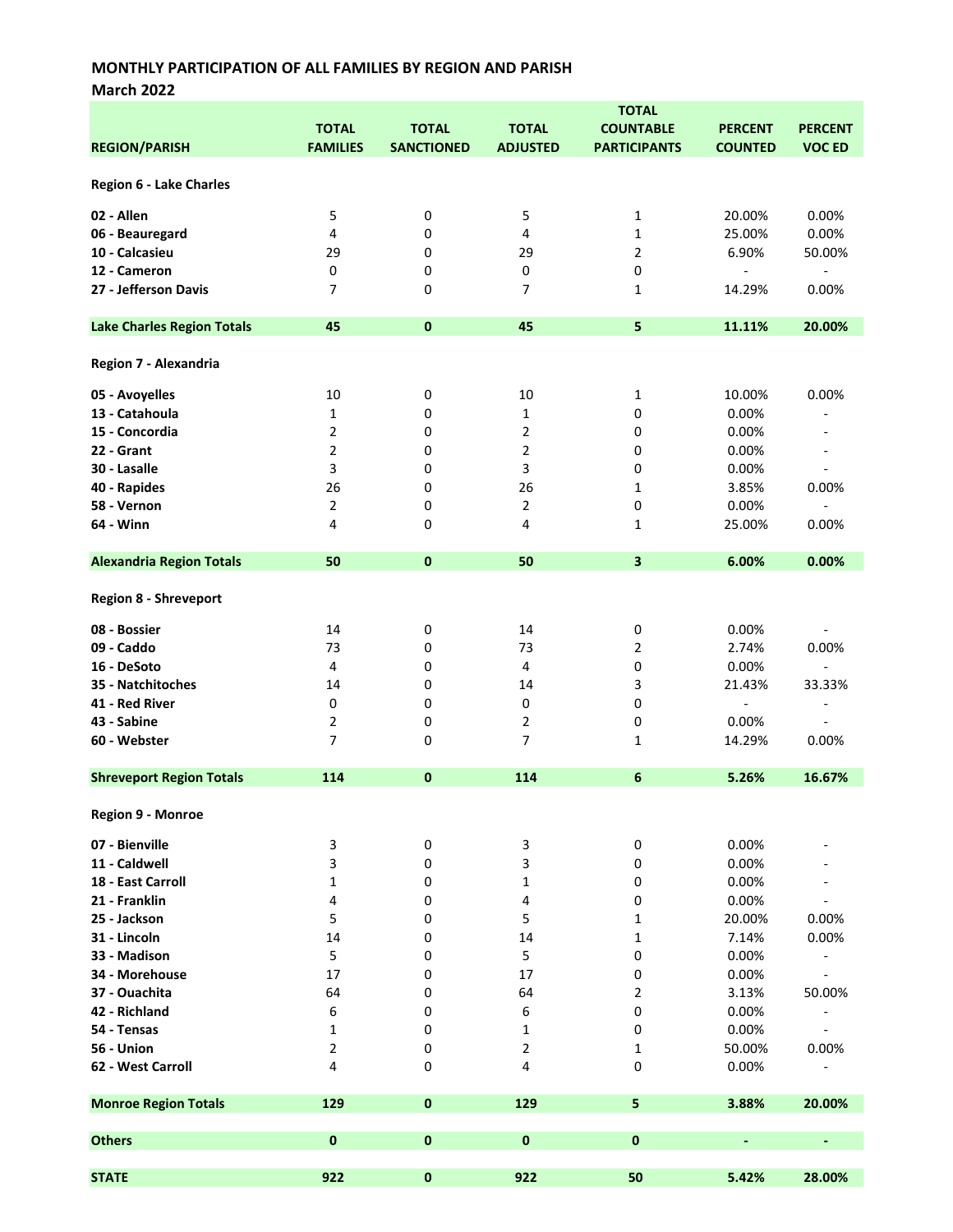March 2022

|                                   |                         |                   |                          | <b>TOTAL</b>            |                          |                              |
|-----------------------------------|-------------------------|-------------------|--------------------------|-------------------------|--------------------------|------------------------------|
|                                   | <b>TOTAL</b>            | <b>TOTAL</b>      | <b>TOTAL</b>             | <b>COUNTABLE</b>        | <b>PERCENT</b>           | <b>PERCENT</b>               |
| <b>REGION/PARISH</b>              | <b>FAMILIES</b>         | <b>SANCTIONED</b> | <b>ADJUSTED</b>          | <b>PARTICIPANTS</b>     | <b>COUNTED</b>           | <b>VOC ED</b>                |
|                                   |                         |                   |                          |                         |                          |                              |
| <b>Region 6 - Lake Charles</b>    |                         |                   |                          |                         |                          |                              |
|                                   |                         |                   |                          |                         |                          |                              |
| 02 - Allen                        | 5                       | 0                 | 5                        | 1                       | 20.00%                   | 0.00%                        |
| 06 - Beauregard                   | $\overline{\mathbf{4}}$ | 0                 | 4                        | 1                       | 25.00%                   | 0.00%                        |
| 10 - Calcasieu                    | 29                      | 0                 | 29                       | $\overline{2}$          | 6.90%                    | 50.00%                       |
| 12 - Cameron                      | $\pmb{0}$               | 0                 | 0                        | $\pmb{0}$               | $\overline{\phantom{a}}$ | $\overline{\phantom{a}}$     |
| 27 - Jefferson Davis              | $\overline{7}$          | 0                 | $\overline{\phantom{a}}$ | 1                       | 14.29%                   | 0.00%                        |
|                                   |                         |                   |                          |                         |                          |                              |
| <b>Lake Charles Region Totals</b> | 45                      | $\mathbf 0$       | 45                       | 5                       | 11.11%                   | 20.00%                       |
|                                   |                         |                   |                          |                         |                          |                              |
|                                   |                         |                   |                          |                         |                          |                              |
| Region 7 - Alexandria             |                         |                   |                          |                         |                          |                              |
| 05 - Avoyelles                    | 10                      | 0                 | 10                       | 1                       | 10.00%                   | 0.00%                        |
| 13 - Catahoula                    | $\mathbf{1}$            | 0                 | $\mathbf{1}$             | 0                       | 0.00%                    |                              |
| 15 - Concordia                    | $\overline{2}$          | 0                 | 2                        | 0                       | 0.00%                    |                              |
|                                   |                         |                   |                          |                         |                          |                              |
| 22 - Grant                        | $\overline{2}$          | 0                 | $\overline{2}$           | 0                       | 0.00%                    | $\overline{\phantom{a}}$     |
| 30 - Lasalle                      | 3                       | 0                 | 3                        | 0                       | 0.00%                    | $\overline{a}$               |
| 40 - Rapides                      | 26                      | 0                 | 26                       | $\mathbf{1}$            | 3.85%                    | 0.00%                        |
| 58 - Vernon                       | $\overline{2}$          | 0                 | $\overline{2}$           | $\mathbf 0$             | 0.00%                    | $\overline{\phantom{a}}$     |
| 64 - Winn                         | 4                       | 0                 | 4                        | 1                       | 25.00%                   | 0.00%                        |
|                                   |                         |                   |                          |                         |                          |                              |
| <b>Alexandria Region Totals</b>   | 50                      | $\mathbf 0$       | 50                       | $\overline{\mathbf{3}}$ | 6.00%                    | 0.00%                        |
|                                   |                         |                   |                          |                         |                          |                              |
| <b>Region 8 - Shreveport</b>      |                         |                   |                          |                         |                          |                              |
|                                   |                         |                   |                          |                         |                          |                              |
| 08 - Bossier                      | 14                      | 0                 | 14                       | 0                       | 0.00%                    |                              |
| 09 - Caddo                        | 73                      | 0                 | 73                       | $\overline{2}$          | 2.74%                    | 0.00%                        |
| 16 - DeSoto                       | 4                       | 0                 | 4                        | 0                       | 0.00%                    | $\overline{\phantom{a}}$     |
| 35 - Natchitoches                 | 14                      | 0                 | 14                       | 3                       | 21.43%                   | 33.33%                       |
| 41 - Red River                    | 0                       | 0                 | 0                        | $\mathbf 0$             | $\overline{\phantom{0}}$ | $\overline{\phantom{a}}$     |
| 43 - Sabine                       | 2                       | 0                 | 2                        | 0                       | 0.00%                    | $\overline{\phantom{m}}$     |
| 60 - Webster                      | $\overline{7}$          | 0                 | 7                        | 1                       | 14.29%                   | 0.00%                        |
|                                   |                         |                   |                          |                         |                          |                              |
| <b>Shreveport Region Totals</b>   | 114                     | 0                 | 114                      | 6                       | 5.26%                    | 16.67%                       |
|                                   |                         |                   |                          |                         |                          |                              |
| Region 9 - Monroe                 |                         |                   |                          |                         |                          |                              |
|                                   |                         |                   |                          |                         |                          |                              |
| 07 - Bienville                    | 3                       | 0                 | 3                        | 0                       | 0.00%                    |                              |
| 11 - Caldwell                     | 3                       | 0                 | 3                        | 0                       | 0.00%                    |                              |
| 18 - East Carroll                 | $\mathbf{1}$            | 0                 | 1                        | 0                       | 0.00%                    |                              |
| 21 - Franklin                     | 4                       | 0                 | 4                        | 0                       | 0.00%                    |                              |
| 25 - Jackson                      | 5                       | 0                 | 5                        | 1                       | 20.00%                   | 0.00%                        |
| 31 - Lincoln                      | 14                      | 0                 | 14                       | 1                       | 7.14%                    | 0.00%                        |
| 33 - Madison                      | 5                       | 0                 | 5                        | 0                       | 0.00%                    | $\qquad \qquad \blacksquare$ |
| 34 - Morehouse                    | 17                      | 0                 | 17                       | 0                       | 0.00%                    | $\qquad \qquad \blacksquare$ |
| 37 - Ouachita                     | 64                      | 0                 | 64                       | 2                       | 3.13%                    | 50.00%                       |
| 42 - Richland                     | 6                       | 0                 | 6                        | 0                       | 0.00%                    | $\overline{a}$               |
| 54 - Tensas                       | 1                       | 0                 |                          | 0                       | 0.00%                    | $\overline{\phantom{m}}$     |
| 56 - Union                        |                         |                   | 1                        |                         |                          |                              |
|                                   | 2                       | 0                 | 2                        | 1                       | 50.00%                   | 0.00%                        |
| 62 - West Carroll                 | 4                       | 0                 | 4                        | 0                       | 0.00%                    |                              |
|                                   |                         |                   |                          |                         |                          |                              |
| <b>Monroe Region Totals</b>       | 129                     | $\pmb{0}$         | 129                      | 5                       | 3.88%                    | 20.00%                       |
|                                   |                         |                   |                          |                         |                          |                              |
| <b>Others</b>                     | $\pmb{0}$               | $\pmb{0}$         | $\pmb{0}$                | $\pmb{0}$               | ٠                        | ٠                            |
|                                   |                         |                   |                          |                         |                          |                              |
| <b>STATE</b>                      | 922                     | $\pmb{0}$         | 922                      | 50                      | 5.42%                    | 28.00%                       |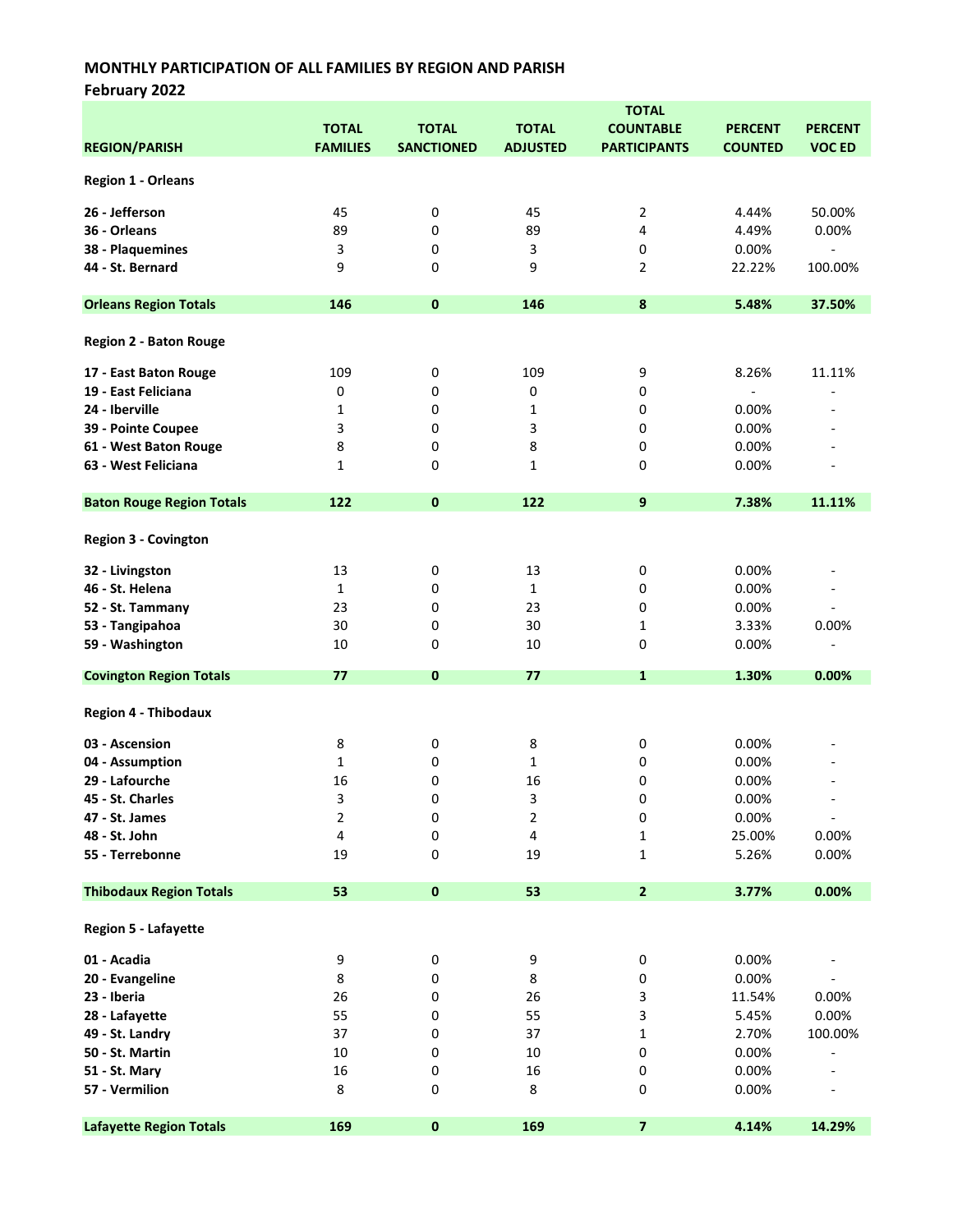February 2022

|                                  | <b>TOTAL</b>    |                   |                 |                         |                |                          |  |
|----------------------------------|-----------------|-------------------|-----------------|-------------------------|----------------|--------------------------|--|
|                                  | <b>TOTAL</b>    | <b>TOTAL</b>      | <b>TOTAL</b>    | <b>COUNTABLE</b>        | <b>PERCENT</b> | <b>PERCENT</b>           |  |
| <b>REGION/PARISH</b>             | <b>FAMILIES</b> | <b>SANCTIONED</b> | <b>ADJUSTED</b> | <b>PARTICIPANTS</b>     | <b>COUNTED</b> | <b>VOC ED</b>            |  |
|                                  |                 |                   |                 |                         |                |                          |  |
| <b>Region 1 - Orleans</b>        |                 |                   |                 |                         |                |                          |  |
| 26 - Jefferson                   | 45              | 0                 | 45              | 2                       | 4.44%          | 50.00%                   |  |
| 36 - Orleans                     | 89              | 0                 | 89              | 4                       | 4.49%          | 0.00%                    |  |
|                                  |                 |                   |                 |                         |                |                          |  |
| 38 - Plaquemines                 | 3               | 0                 | 3               | 0                       | 0.00%          |                          |  |
| 44 - St. Bernard                 | 9               | 0                 | 9               | $\overline{2}$          | 22.22%         | 100.00%                  |  |
| <b>Orleans Region Totals</b>     | 146             | $\mathbf 0$       | 146             | $\bf{8}$                | 5.48%          | 37.50%                   |  |
| <b>Region 2 - Baton Rouge</b>    |                 |                   |                 |                         |                |                          |  |
| 17 - East Baton Rouge            | 109             | 0                 | 109             | 9                       | 8.26%          | 11.11%                   |  |
| 19 - East Feliciana              | 0               | 0                 | 0               | 0                       | $\blacksquare$ |                          |  |
| 24 - Iberville                   | 1               | 0                 | 1               | 0                       | 0.00%          |                          |  |
| 39 - Pointe Coupee               | 3               | 0                 | 3               | 0                       | 0.00%          |                          |  |
|                                  |                 |                   |                 |                         |                |                          |  |
| 61 - West Baton Rouge            | 8               | 0                 | 8               | 0                       | 0.00%          |                          |  |
| 63 - West Feliciana              | 1               | 0                 | 1               | 0                       | 0.00%          |                          |  |
| <b>Baton Rouge Region Totals</b> | 122             | $\mathbf{0}$      | 122             | 9                       | 7.38%          | 11.11%                   |  |
| <b>Region 3 - Covington</b>      |                 |                   |                 |                         |                |                          |  |
| 32 - Livingston                  | 13              | 0                 | 13              | 0                       | 0.00%          |                          |  |
| 46 - St. Helena                  | 1               | 0                 | 1               | 0                       | 0.00%          | $\overline{a}$           |  |
| 52 - St. Tammany                 | 23              | 0                 | 23              | 0                       | 0.00%          | $\overline{\phantom{a}}$ |  |
| 53 - Tangipahoa                  | 30              | 0                 | 30              | 1                       | 3.33%          | 0.00%                    |  |
|                                  |                 | 0                 | 10              | 0                       |                | L,                       |  |
| 59 - Washington                  | 10              |                   |                 |                         | 0.00%          |                          |  |
| <b>Covington Region Totals</b>   | 77              | $\mathbf{0}$      | 77              | 1                       | 1.30%          | 0.00%                    |  |
| <b>Region 4 - Thibodaux</b>      |                 |                   |                 |                         |                |                          |  |
| 03 - Ascension                   | 8               | 0                 | 8               | 0                       | 0.00%          |                          |  |
| 04 - Assumption                  | 1               | 0                 | 1               | 0                       | 0.00%          |                          |  |
| 29 - Lafourche                   | 16              | 0                 | 16              | 0                       | 0.00%          |                          |  |
| 45 - St. Charles                 | 3               | 0                 | 3               | 0                       | 0.00%          |                          |  |
| 47 - St. James                   | 2               |                   |                 |                         | 0.00%          |                          |  |
|                                  |                 | 0                 | 2               | 0                       |                | $\overline{\phantom{a}}$ |  |
| 48 - St. John                    | 4               | 0                 | 4               | $\mathbf{1}$            | 25.00%         | 0.00%                    |  |
| 55 - Terrebonne                  | 19              | 0                 | 19              | 1                       | 5.26%          | 0.00%                    |  |
| <b>Thibodaux Region Totals</b>   | 53              | $\pmb{0}$         | 53              | $\mathbf{2}$            | 3.77%          | 0.00%                    |  |
| Region 5 - Lafayette             |                 |                   |                 |                         |                |                          |  |
| 01 - Acadia                      | 9               | 0                 | 9               | 0                       | 0.00%          |                          |  |
| 20 - Evangeline                  | 8               | 0                 | 8               | 0                       | 0.00%          |                          |  |
| 23 - Iberia                      | 26              | 0                 | 26              | 3                       | 11.54%         | 0.00%                    |  |
|                                  | 55              |                   | 55              |                         |                | 0.00%                    |  |
| 28 - Lafayette                   |                 | 0                 |                 | 3                       | 5.45%          |                          |  |
| 49 - St. Landry                  | 37              | 0                 | 37              | $\mathbf{1}$            | 2.70%          | 100.00%                  |  |
| 50 - St. Martin                  | 10              | 0                 | $10\,$          | 0                       | 0.00%          |                          |  |
| 51 - St. Mary                    | 16              | 0                 | 16              | 0                       | 0.00%          |                          |  |
| 57 - Vermilion                   | 8               | 0                 | 8               | 0                       | 0.00%          |                          |  |
| <b>Lafayette Region Totals</b>   | 169             | $\pmb{0}$         | 169             | $\overline{\mathbf{z}}$ | 4.14%          | 14.29%                   |  |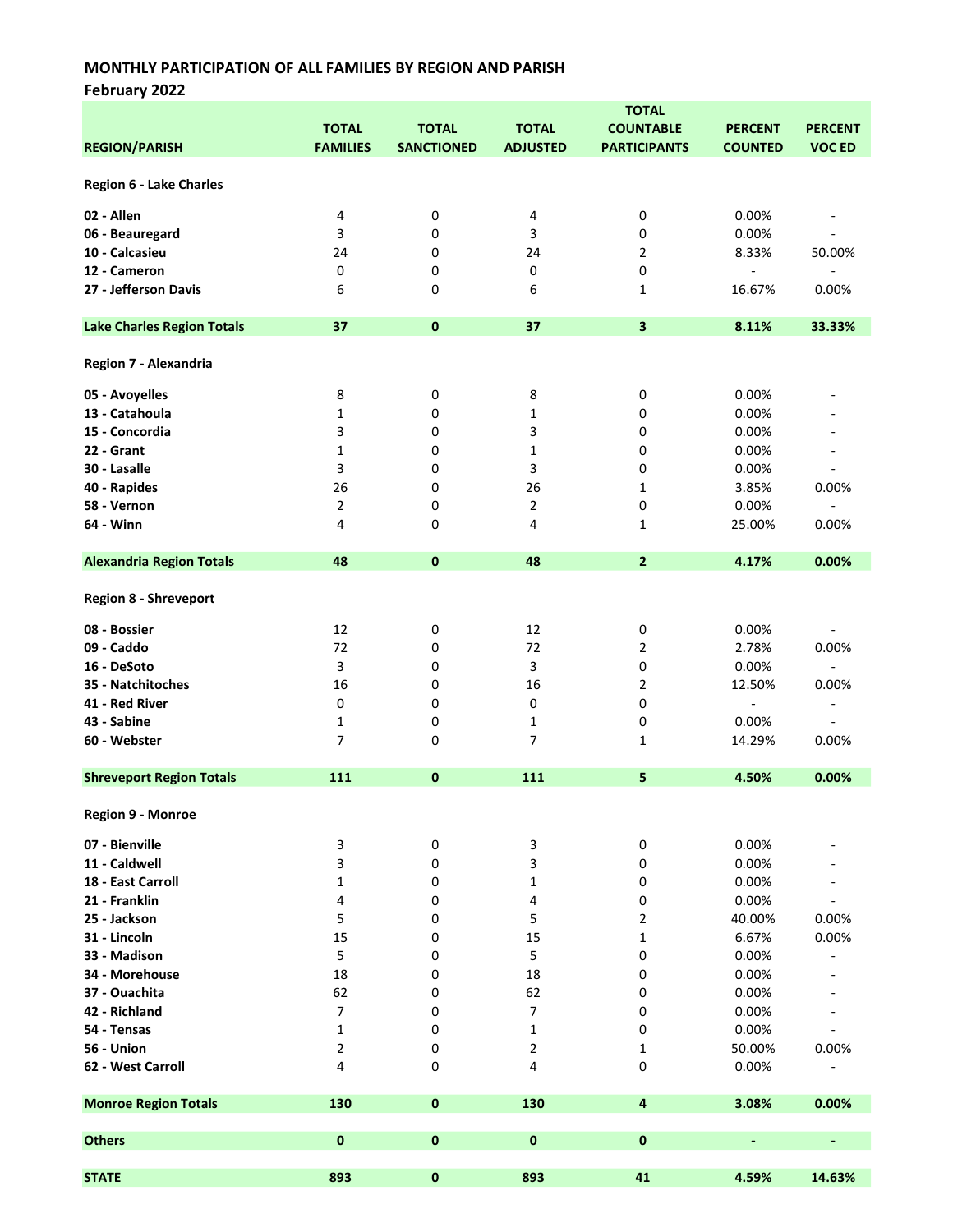February 2022

|                                   | <b>TOTAL</b>    |                   |                 |                     |                          |                              |
|-----------------------------------|-----------------|-------------------|-----------------|---------------------|--------------------------|------------------------------|
|                                   | <b>TOTAL</b>    | <b>TOTAL</b>      | <b>TOTAL</b>    | <b>COUNTABLE</b>    | <b>PERCENT</b>           | <b>PERCENT</b>               |
| <b>REGION/PARISH</b>              | <b>FAMILIES</b> | <b>SANCTIONED</b> | <b>ADJUSTED</b> | <b>PARTICIPANTS</b> | <b>COUNTED</b>           | <b>VOC ED</b>                |
|                                   |                 |                   |                 |                     |                          |                              |
| Region 6 - Lake Charles           |                 |                   |                 |                     |                          |                              |
|                                   |                 |                   |                 |                     |                          |                              |
| 02 - Allen                        | 4               | 0                 | 4               | 0                   | 0.00%                    |                              |
| 06 - Beauregard                   | 3               | 0                 | 3               | 0                   | 0.00%                    |                              |
| 10 - Calcasieu                    | 24              | 0                 | 24              | 2                   | 8.33%                    | 50.00%                       |
| 12 - Cameron                      | 0               | 0                 | 0               | 0                   | $\overline{\phantom{a}}$ |                              |
| 27 - Jefferson Davis              | 6               | 0                 | 6               | 1                   | 16.67%                   | 0.00%                        |
|                                   |                 |                   |                 |                     |                          |                              |
| <b>Lake Charles Region Totals</b> | 37              | $\bf{0}$          | 37              | 3                   | 8.11%                    | 33.33%                       |
|                                   |                 |                   |                 |                     |                          |                              |
| Region 7 - Alexandria             |                 |                   |                 |                     |                          |                              |
| 05 - Avoyelles                    | 8               | 0                 | 8               | 0                   | 0.00%                    |                              |
| 13 - Catahoula                    | 1               | 0                 | 1               | 0                   | 0.00%                    |                              |
| 15 - Concordia                    | 3               | 0                 | 3               | 0                   | 0.00%                    |                              |
| 22 - Grant                        | 1               | 0                 | $\mathbf{1}$    | 0                   | 0.00%                    |                              |
|                                   |                 |                   |                 |                     |                          |                              |
| 30 - Lasalle                      | 3               | 0                 | 3               | 0                   | 0.00%                    |                              |
| 40 - Rapides                      | 26              | 0                 | 26              | 1                   | 3.85%                    | 0.00%                        |
| 58 - Vernon                       | 2               | 0                 | $\overline{2}$  | 0                   | 0.00%                    |                              |
| 64 - Winn                         | 4               | 0                 | 4               | 1                   | 25.00%                   | 0.00%                        |
| <b>Alexandria Region Totals</b>   | 48              | 0                 | 48              | $\overline{2}$      | 4.17%                    | 0.00%                        |
|                                   |                 |                   |                 |                     |                          |                              |
| <b>Region 8 - Shreveport</b>      |                 |                   |                 |                     |                          |                              |
| 08 - Bossier                      | 12              | 0                 | 12              | 0                   | 0.00%                    |                              |
| 09 - Caddo                        | 72              | 0                 | 72              | 2                   | 2.78%                    | 0.00%                        |
|                                   |                 |                   |                 |                     |                          |                              |
| 16 - DeSoto                       | 3               | 0                 | 3               | 0                   | 0.00%                    | $\overline{\phantom{a}}$     |
| 35 - Natchitoches                 | 16              | 0                 | 16              | 2                   | 12.50%                   | 0.00%                        |
| 41 - Red River                    | 0               | 0                 | 0               | 0                   | $\overline{\phantom{a}}$ | $\qquad \qquad \blacksquare$ |
| 43 - Sabine                       | 1               | 0                 | $\mathbf{1}$    | 0                   | 0.00%                    |                              |
| 60 - Webster                      | 7               | 0                 | $\overline{7}$  | 1                   | 14.29%                   | 0.00%                        |
|                                   |                 |                   | 111             |                     |                          |                              |
| <b>Shreveport Region Totals</b>   | 111             | $\mathbf 0$       |                 | 5                   | 4.50%                    | 0.00%                        |
| Region 9 - Monroe                 |                 |                   |                 |                     |                          |                              |
|                                   |                 |                   |                 |                     |                          |                              |
| 07 - Bienville                    | 3               | 0                 | 3               | 0                   | 0.00%                    |                              |
| 11 - Caldwell                     | 3               | 0                 | 3               | 0                   | 0.00%                    |                              |
| 18 - East Carroll                 | 1               | 0                 | 1               | 0                   | 0.00%                    |                              |
| 21 - Franklin                     | 4               | 0                 | 4               | 0                   | 0.00%                    |                              |
| 25 - Jackson                      | 5               | 0                 | 5               | 2                   | 40.00%                   | 0.00%                        |
| 31 - Lincoln                      | 15              | 0                 | 15              | 1                   | 6.67%                    | 0.00%                        |
| 33 - Madison                      | 5               | 0                 | 5               | 0                   | 0.00%                    |                              |
| 34 - Morehouse                    | 18              | 0                 | 18              | 0                   | 0.00%                    |                              |
| 37 - Ouachita                     | 62              | 0                 | 62              | 0                   | 0.00%                    |                              |
| 42 - Richland                     | 7               | 0                 | 7               | 0                   | 0.00%                    |                              |
| 54 - Tensas                       | 1               | 0                 | $\mathbf{1}$    | 0                   | 0.00%                    |                              |
| 56 - Union                        | 2               | 0                 | 2               | 1                   | 50.00%                   | 0.00%                        |
| 62 - West Carroll                 | 4               | 0                 | 4               | 0                   | 0.00%                    |                              |
|                                   |                 |                   |                 |                     |                          |                              |
| <b>Monroe Region Totals</b>       | 130             | $\pmb{0}$         | 130             | 4                   | 3.08%                    | 0.00%                        |
|                                   |                 |                   |                 |                     |                          |                              |
| <b>Others</b>                     | $\mathbf 0$     | $\pmb{0}$         | $\pmb{0}$       | $\pmb{0}$           | ٠                        | $\overline{\phantom{0}}$     |
|                                   |                 |                   |                 |                     |                          |                              |
| <b>STATE</b>                      | 893             | 0                 | 893             | 41                  | 4.59%                    | 14.63%                       |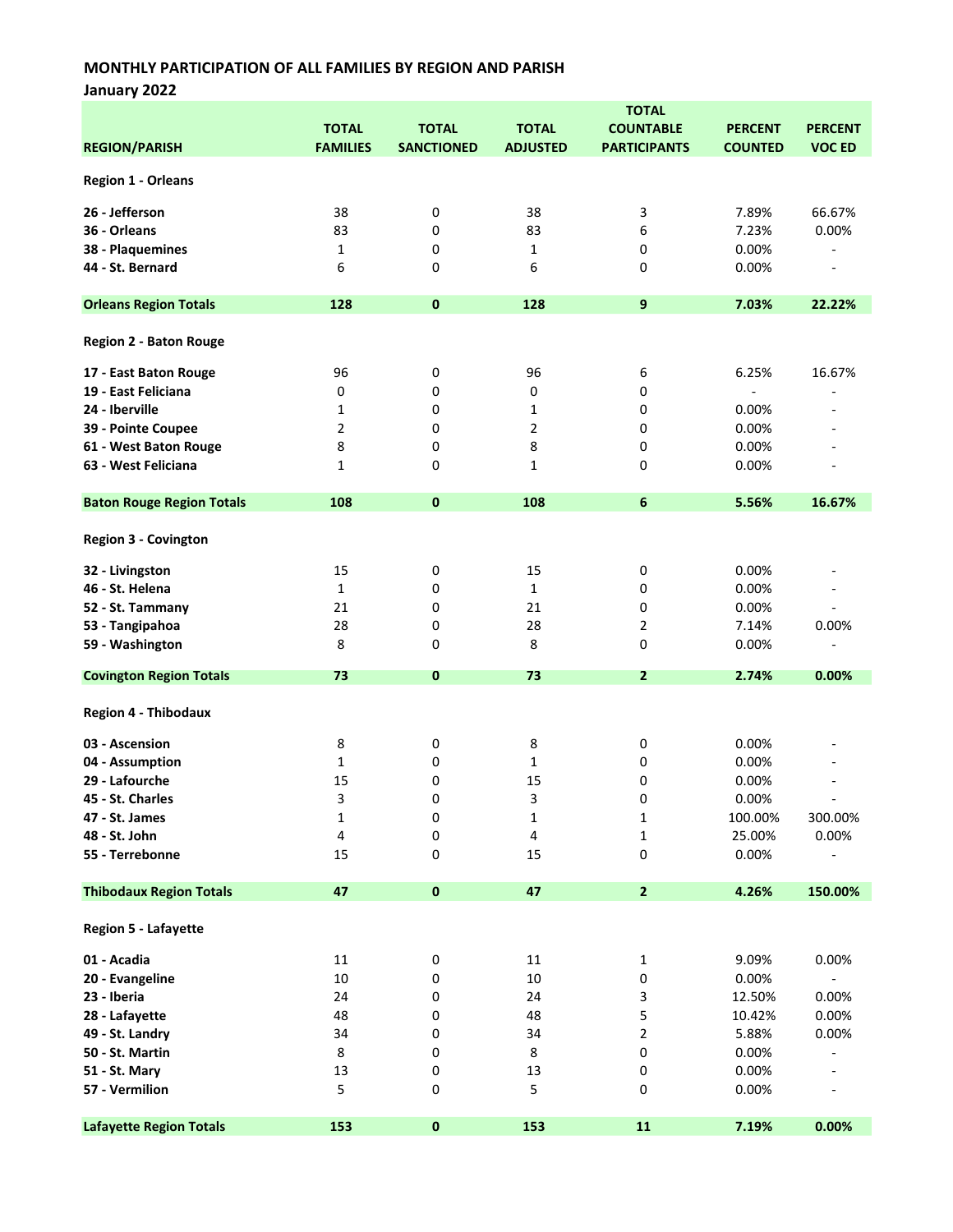January 2022

|                                  | <b>TOTAL</b>    |                   |                 |                     |                |                          |  |
|----------------------------------|-----------------|-------------------|-----------------|---------------------|----------------|--------------------------|--|
|                                  | <b>TOTAL</b>    | <b>TOTAL</b>      | <b>TOTAL</b>    | <b>COUNTABLE</b>    | <b>PERCENT</b> | <b>PERCENT</b>           |  |
| <b>REGION/PARISH</b>             | <b>FAMILIES</b> | <b>SANCTIONED</b> | <b>ADJUSTED</b> | <b>PARTICIPANTS</b> | <b>COUNTED</b> | <b>VOC ED</b>            |  |
|                                  |                 |                   |                 |                     |                |                          |  |
| <b>Region 1 - Orleans</b>        |                 |                   |                 |                     |                |                          |  |
| 26 - Jefferson                   | 38              | 0                 | 38              | 3                   | 7.89%          | 66.67%                   |  |
| 36 - Orleans                     | 83              | 0                 | 83              | 6                   | 7.23%          | 0.00%                    |  |
| 38 - Plaquemines                 | 1               | 0                 | $\mathbf{1}$    | 0                   | 0.00%          |                          |  |
| 44 - St. Bernard                 | 6               |                   | 6               | 0                   | 0.00%          | $\overline{\phantom{a}}$ |  |
|                                  |                 | 0                 |                 |                     |                |                          |  |
| <b>Orleans Region Totals</b>     | 128             | $\bf{0}$          | 128             | 9                   | 7.03%          | 22.22%                   |  |
|                                  |                 |                   |                 |                     |                |                          |  |
| <b>Region 2 - Baton Rouge</b>    |                 |                   |                 |                     |                |                          |  |
| 17 - East Baton Rouge            | 96              | 0                 | 96              | 6                   | 6.25%          | 16.67%                   |  |
| 19 - East Feliciana              | 0               | 0                 | 0               | 0                   |                |                          |  |
| 24 - Iberville                   | 1               | 0                 | $\mathbf{1}$    | 0                   | 0.00%          |                          |  |
| 39 - Pointe Coupee               | 2               | 0                 | $\overline{2}$  | 0                   | 0.00%          |                          |  |
|                                  |                 |                   |                 |                     |                |                          |  |
| 61 - West Baton Rouge            | 8               | 0                 | 8               | 0                   | 0.00%          |                          |  |
| 63 - West Feliciana              | 1               | 0                 | 1               | 0                   | 0.00%          |                          |  |
| <b>Baton Rouge Region Totals</b> | 108             | $\bf{0}$          | 108             | 6                   | 5.56%          | 16.67%                   |  |
| <b>Region 3 - Covington</b>      |                 |                   |                 |                     |                |                          |  |
| 32 - Livingston                  | 15              | 0                 | 15              | 0                   | 0.00%          |                          |  |
| 46 - St. Helena                  | 1               | 0                 | $\mathbf{1}$    | 0                   | 0.00%          |                          |  |
|                                  |                 |                   |                 |                     |                |                          |  |
| 52 - St. Tammany                 | 21              | 0                 | 21              | 0                   | 0.00%          | $\blacksquare$           |  |
| 53 - Tangipahoa                  | 28              | 0                 | 28              | 2                   | 7.14%          | 0.00%                    |  |
| 59 - Washington                  | 8               | 0                 | 8               | 0                   | 0.00%          | $\overline{a}$           |  |
| <b>Covington Region Totals</b>   | 73              | 0                 | 73              | $\overline{2}$      | 2.74%          | 0.00%                    |  |
| <b>Region 4 - Thibodaux</b>      |                 |                   |                 |                     |                |                          |  |
| 03 - Ascension                   | 8               | 0                 | 8               | 0                   | 0.00%          |                          |  |
| 04 - Assumption                  | 1               | 0                 | 1               | 0                   | 0.00%          |                          |  |
|                                  |                 |                   |                 |                     |                |                          |  |
| 29 - Lafourche                   | 15              | 0                 | 15              | 0                   | 0.00%          |                          |  |
| 45 - St. Charles                 | 3               | 0                 | 3               | 0                   | 0.00%          |                          |  |
| 47 - St. James                   | 1               | 0                 | 1               | 1                   | 100.00%        | 300.00%                  |  |
| 48 - St. John                    | 4               | 0                 | 4               | 1                   | 25.00%         | 0.00%                    |  |
| 55 - Terrebonne                  | 15              | 0                 | 15              | 0                   | 0.00%          |                          |  |
| <b>Thibodaux Region Totals</b>   | 47              | $\pmb{0}$         | 47              | $\mathbf{2}$        | 4.26%          | 150.00%                  |  |
| Region 5 - Lafayette             |                 |                   |                 |                     |                |                          |  |
| 01 - Acadia                      | 11              | 0                 | 11              | 1                   | 9.09%          | 0.00%                    |  |
| 20 - Evangeline                  | $10\,$          |                   | $10\,$          |                     |                |                          |  |
|                                  |                 | 0                 |                 | 0                   | 0.00%          | $\blacksquare$           |  |
| 23 - Iberia                      | 24              | 0                 | 24              | 3                   | 12.50%         | 0.00%                    |  |
| 28 - Lafayette                   | 48              | 0                 | 48              | 5                   | 10.42%         | 0.00%                    |  |
| 49 - St. Landry                  | 34              | 0                 | 34              | 2                   | 5.88%          | 0.00%                    |  |
| 50 - St. Martin                  | $\bf 8$         | 0                 | $\bf 8$         | 0                   | 0.00%          |                          |  |
| 51 - St. Mary                    | 13              | 0                 | 13              | 0                   | 0.00%          |                          |  |
| 57 - Vermilion                   | 5               | 0                 | 5               | 0                   | 0.00%          |                          |  |
|                                  |                 |                   |                 |                     |                |                          |  |
| <b>Lafayette Region Totals</b>   | 153             | $\pmb{0}$         | 153             | 11                  | 7.19%          | 0.00%                    |  |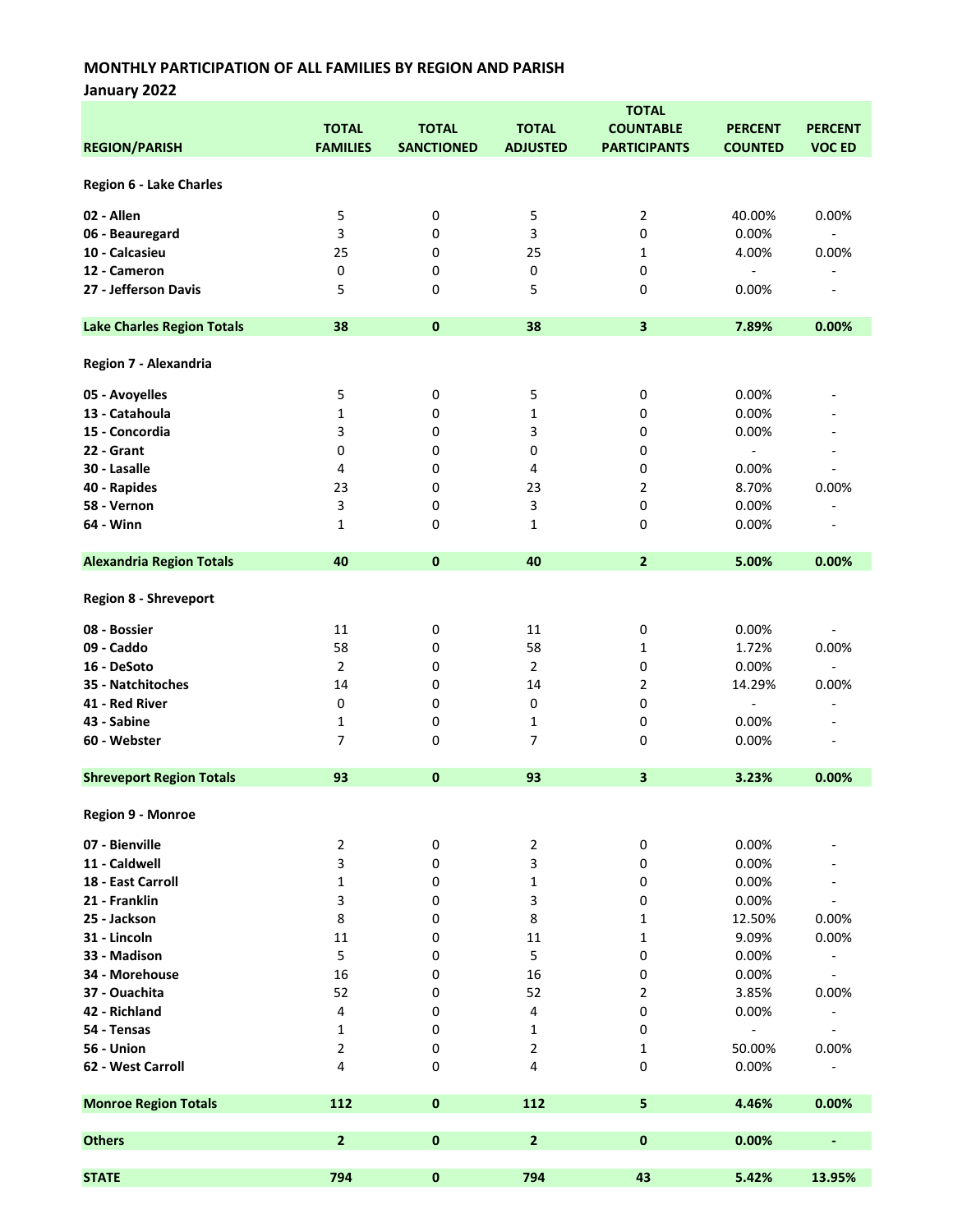January 2022

|                                   |                 |                   |                 | <b>TOTAL</b>        |                          |                              |
|-----------------------------------|-----------------|-------------------|-----------------|---------------------|--------------------------|------------------------------|
|                                   | <b>TOTAL</b>    | <b>TOTAL</b>      | <b>TOTAL</b>    | <b>COUNTABLE</b>    | <b>PERCENT</b>           | <b>PERCENT</b>               |
| <b>REGION/PARISH</b>              | <b>FAMILIES</b> | <b>SANCTIONED</b> | <b>ADJUSTED</b> | <b>PARTICIPANTS</b> | <b>COUNTED</b>           | <b>VOC ED</b>                |
|                                   |                 |                   |                 |                     |                          |                              |
| Region 6 - Lake Charles           |                 |                   |                 |                     |                          |                              |
| 02 - Allen                        |                 |                   |                 |                     |                          |                              |
|                                   | 5               | 0                 | 5               | 2                   | 40.00%                   | 0.00%                        |
| 06 - Beauregard                   | 3               | 0                 | 3               | 0                   | 0.00%                    | $\overline{\phantom{a}}$     |
| 10 - Calcasieu                    | 25              | 0                 | 25              | 1                   | 4.00%                    | 0.00%                        |
| 12 - Cameron                      | 0               | 0                 | 0               | 0                   | $\overline{\phantom{a}}$ |                              |
| 27 - Jefferson Davis              | 5               | 0                 | 5               | 0                   | 0.00%                    | $\overline{a}$               |
| <b>Lake Charles Region Totals</b> | 38              | $\pmb{0}$         | 38              | 3                   | 7.89%                    | 0.00%                        |
|                                   |                 |                   |                 |                     |                          |                              |
| Region 7 - Alexandria             |                 |                   |                 |                     |                          |                              |
| 05 - Avoyelles                    | 5               | 0                 | 5               | 0                   | 0.00%                    |                              |
| 13 - Catahoula                    | 1               | 0                 | $\mathbf{1}$    | 0                   | 0.00%                    |                              |
| 15 - Concordia                    | 3               | 0                 | 3               | 0                   | 0.00%                    |                              |
| 22 - Grant                        | 0               | 0                 | 0               | 0                   | $\blacksquare$           |                              |
| 30 - Lasalle                      | 4               | 0                 | 4               | 0                   | 0.00%                    |                              |
| 40 - Rapides                      | 23              | 0                 | 23              | 2                   | 8.70%                    | 0.00%                        |
| 58 - Vernon                       | 3               | 0                 | 3               | 0                   | 0.00%                    |                              |
| 64 - Winn                         | 1               | 0                 | $\mathbf{1}$    | 0                   | 0.00%                    |                              |
|                                   |                 |                   |                 |                     |                          |                              |
| <b>Alexandria Region Totals</b>   | 40              | 0                 | 40              | $\overline{2}$      | 5.00%                    | 0.00%                        |
| <b>Region 8 - Shreveport</b>      |                 |                   |                 |                     |                          |                              |
| 08 - Bossier                      | 11              | 0                 | 11              | 0                   | 0.00%                    |                              |
| 09 - Caddo                        | 58              | 0                 | 58              | 1                   | 1.72%                    | 0.00%                        |
| 16 - DeSoto                       | $\overline{2}$  | 0                 | $\overline{2}$  | 0                   | 0.00%                    | $\qquad \qquad \blacksquare$ |
| 35 - Natchitoches                 | 14              | 0                 | 14              | 2                   | 14.29%                   | 0.00%                        |
| 41 - Red River                    | 0               | 0                 | 0               | 0                   | $\overline{\phantom{a}}$ | $\overline{\phantom{a}}$     |
| 43 - Sabine                       | 1               | 0                 | $\mathbf{1}$    | 0                   | 0.00%                    |                              |
| 60 - Webster                      | 7               | 0                 | $\overline{7}$  | 0                   | 0.00%                    |                              |
|                                   |                 |                   |                 |                     |                          |                              |
| <b>Shreveport Region Totals</b>   | 93              | $\mathbf 0$       | 93              | 3                   | 3.23%                    | 0.00%                        |
| Region 9 - Monroe                 |                 |                   |                 |                     |                          |                              |
| 07 - Bienville                    | 2               | 0                 | 2               | 0                   | 0.00%                    |                              |
| 11 - Caldwell                     | 3               | 0                 | 3               | 0                   | 0.00%                    |                              |
| 18 - East Carroll                 | 1               | 0                 | $\mathbf{1}$    | 0                   | 0.00%                    |                              |
| 21 - Franklin                     | 3               |                   |                 | 0                   | 0.00%                    | $\overline{a}$               |
| 25 - Jackson                      |                 | 0                 | 3               |                     |                          |                              |
|                                   | 8               | 0                 | 8               | 1                   | 12.50%                   | 0.00%                        |
| 31 - Lincoln<br>33 - Madison      | 11              | 0                 | $11\,$          | 1                   | 9.09%                    | 0.00%                        |
|                                   | 5               | 0                 | 5               | 0                   | 0.00%                    |                              |
| 34 - Morehouse                    | 16              | 0                 | 16              | 0                   | 0.00%                    |                              |
| 37 - Ouachita                     | 52              | 0                 | 52              | 2                   | 3.85%                    | 0.00%                        |
| 42 - Richland                     | 4               | 0                 | 4               | 0                   | 0.00%                    | $\qquad \qquad \blacksquare$ |
| 54 - Tensas                       | 1               | 0                 | 1               | 0                   | $\blacksquare$           |                              |
| 56 - Union                        | 2               | 0                 | 2               | 1                   | 50.00%                   | 0.00%                        |
| 62 - West Carroll                 | 4               | 0                 | 4               | 0                   | 0.00%                    |                              |
| <b>Monroe Region Totals</b>       | 112             | $\bf{0}$          | 112             | 5                   | 4.46%                    | 0.00%                        |
|                                   |                 |                   |                 |                     |                          |                              |
| <b>Others</b>                     | $\mathbf{2}$    | $\pmb{0}$         | $\mathbf 2$     | 0                   | 0.00%                    | ۰                            |
| <b>STATE</b>                      | 794             | 0                 | 794             | 43                  | 5.42%                    | 13.95%                       |
|                                   |                 |                   |                 |                     |                          |                              |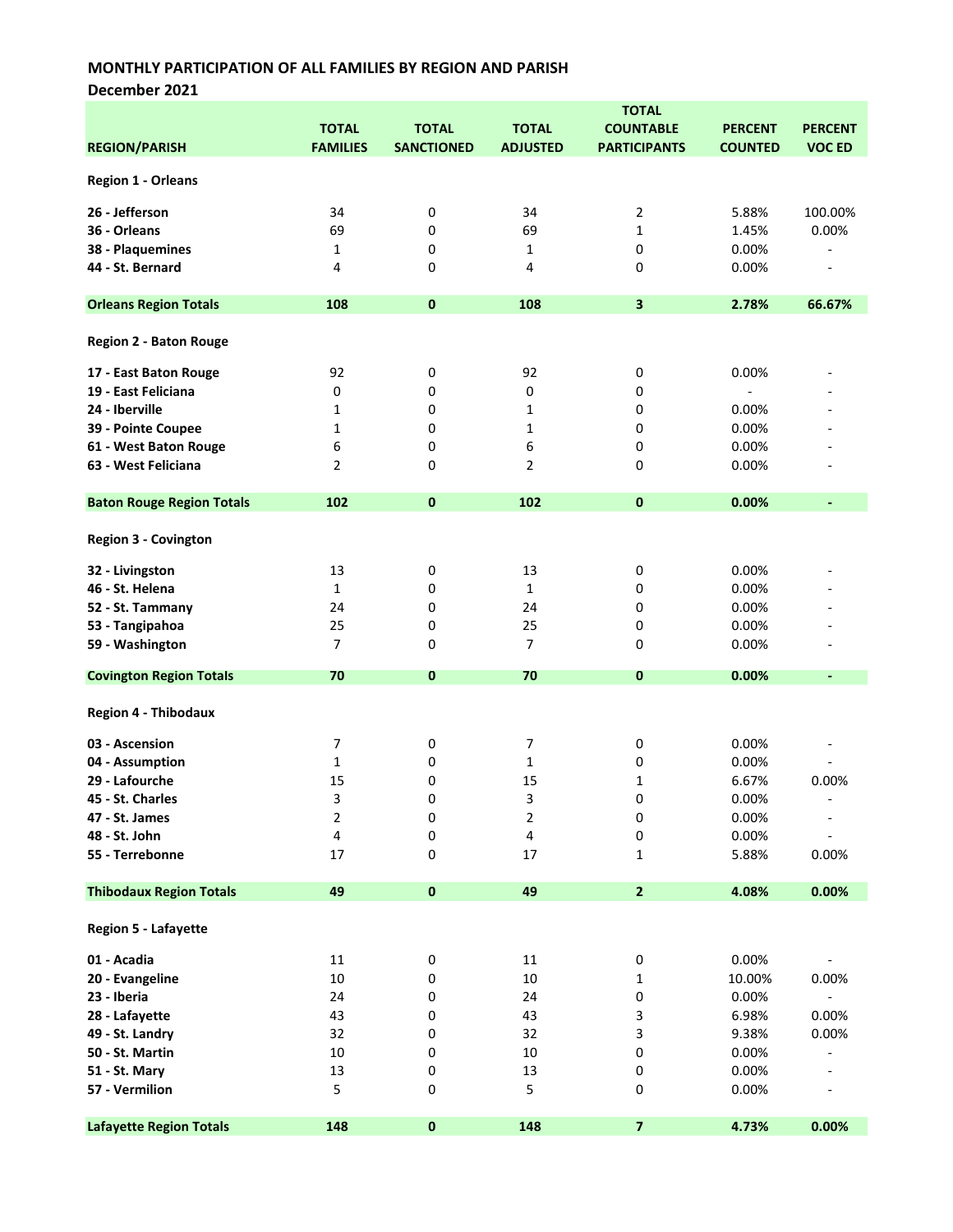December 2021

|                                  | <b>TOTAL</b>    |                   |                 |                     |                |                          |
|----------------------------------|-----------------|-------------------|-----------------|---------------------|----------------|--------------------------|
|                                  | <b>TOTAL</b>    | <b>TOTAL</b>      | <b>TOTAL</b>    | <b>COUNTABLE</b>    | <b>PERCENT</b> | <b>PERCENT</b>           |
| <b>REGION/PARISH</b>             | <b>FAMILIES</b> | <b>SANCTIONED</b> | <b>ADJUSTED</b> | <b>PARTICIPANTS</b> | <b>COUNTED</b> | <b>VOC ED</b>            |
|                                  |                 |                   |                 |                     |                |                          |
| <b>Region 1 - Orleans</b>        |                 |                   |                 |                     |                |                          |
| 26 - Jefferson                   | 34              | 0                 | 34              | 2                   | 5.88%          | 100.00%                  |
| 36 - Orleans                     | 69              | 0                 | 69              | $\mathbf{1}$        | 1.45%          | 0.00%                    |
|                                  |                 | 0                 | 1               | 0                   |                |                          |
| 38 - Plaquemines                 | 1               |                   |                 |                     | 0.00%          |                          |
| 44 - St. Bernard                 | 4               | 0                 | 4               | 0                   | 0.00%          | $\overline{\phantom{0}}$ |
| <b>Orleans Region Totals</b>     | 108             | $\pmb{0}$         | 108             | 3                   | 2.78%          | 66.67%                   |
| <b>Region 2 - Baton Rouge</b>    |                 |                   |                 |                     |                |                          |
| 17 - East Baton Rouge            | 92              | 0                 | 92              | 0                   | 0.00%          |                          |
| 19 - East Feliciana              | 0               | 0                 | 0               | 0                   | $\blacksquare$ |                          |
| 24 - Iberville                   | 1               | 0                 | 1               | 0                   | 0.00%          |                          |
| 39 - Pointe Coupee               | 1               | 0                 | 1               | 0                   | 0.00%          |                          |
|                                  |                 |                   |                 |                     |                |                          |
| 61 - West Baton Rouge            | 6               | 0                 | 6               | 0                   | 0.00%          |                          |
| 63 - West Feliciana              | $\overline{2}$  | 0                 | 2               | 0                   | 0.00%          |                          |
| <b>Baton Rouge Region Totals</b> | 102             | $\pmb{0}$         | 102             | 0                   | 0.00%          | $\blacksquare$           |
| <b>Region 3 - Covington</b>      |                 |                   |                 |                     |                |                          |
| 32 - Livingston                  | 13              | 0                 | 13              | 0                   | 0.00%          |                          |
| 46 - St. Helena                  | $\mathbf{1}$    | 0                 | 1               | 0                   | 0.00%          |                          |
| 52 - St. Tammany                 | 24              | 0                 | 24              | 0                   | 0.00%          |                          |
|                                  |                 |                   |                 |                     |                |                          |
| 53 - Tangipahoa                  | 25              | 0                 | 25              | 0                   | 0.00%          |                          |
| 59 - Washington                  | 7               | 0                 | 7               | 0                   | 0.00%          |                          |
| <b>Covington Region Totals</b>   | 70              | $\mathbf 0$       | 70              | 0                   | 0.00%          | $\blacksquare$           |
| <b>Region 4 - Thibodaux</b>      |                 |                   |                 |                     |                |                          |
| 03 - Ascension                   | 7               | 0                 | 7               | 0                   | 0.00%          |                          |
| 04 - Assumption                  | 1               | 0                 | 1               | 0                   | 0.00%          |                          |
| 29 - Lafourche                   | 15              | 0                 | 15              | 1                   | 6.67%          | 0.00%                    |
|                                  | 3               | 0                 | 3               | 0                   |                |                          |
| 45 - St. Charles                 |                 |                   |                 |                     | 0.00%          |                          |
| 47 - St. James                   | 2               | 0                 | 2               | 0                   | 0.00%          | $\overline{\phantom{a}}$ |
| 48 - St. John                    | 4               | 0                 | 4               | 0                   | 0.00%          |                          |
| 55 - Terrebonne                  | 17              | 0                 | 17              | 1                   | 5.88%          | 0.00%                    |
| <b>Thibodaux Region Totals</b>   | 49              | $\pmb{0}$         | 49              | $\mathbf{z}$        | 4.08%          | 0.00%                    |
| Region 5 - Lafayette             |                 |                   |                 |                     |                |                          |
| 01 - Acadia                      | 11              | 0                 | 11              | 0                   | 0.00%          |                          |
| 20 - Evangeline                  | 10              | 0                 | $10\,$          | 1                   | 10.00%         | 0.00%                    |
| 23 - Iberia                      | 24              | 0                 | 24              | 0                   | 0.00%          | $\overline{\phantom{a}}$ |
|                                  |                 |                   |                 |                     |                |                          |
| 28 - Lafayette                   | 43              | 0                 | 43              | 3                   | 6.98%          | 0.00%                    |
| 49 - St. Landry                  | 32              | 0                 | 32              | 3                   | 9.38%          | 0.00%                    |
| 50 - St. Martin                  | $10\,$          | 0                 | $10\,$          | 0                   | 0.00%          |                          |
| 51 - St. Mary                    | 13              | 0                 | 13              | 0                   | 0.00%          |                          |
| 57 - Vermilion                   | 5               | 0                 | 5               | 0                   | 0.00%          |                          |
| <b>Lafayette Region Totals</b>   | 148             | $\pmb{0}$         | 148             | 7                   | 4.73%          | 0.00%                    |
|                                  |                 |                   |                 |                     |                |                          |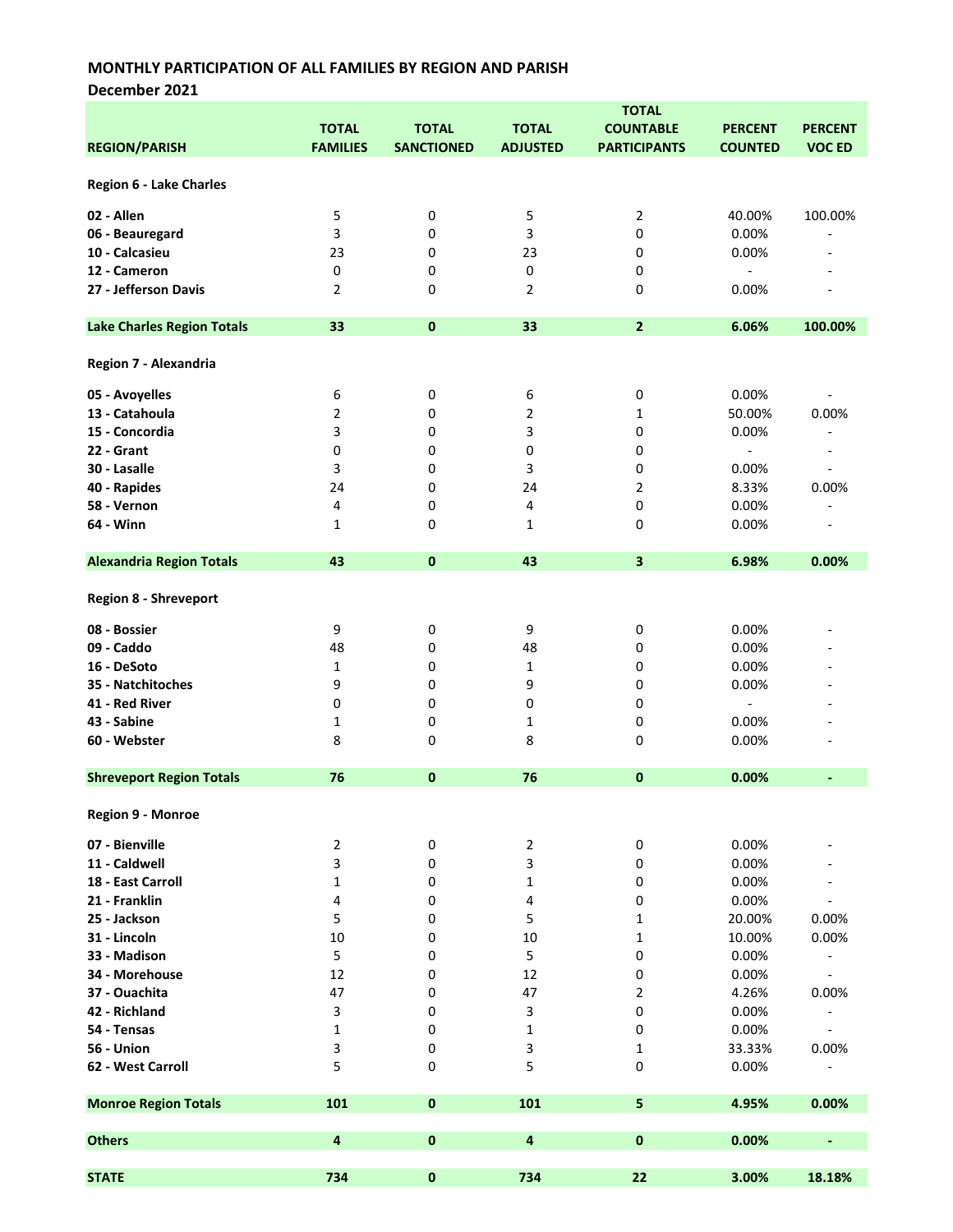December 2021

|                                   | <b>TOTAL</b>    | <b>TOTAL</b>      | <b>TOTAL</b>            | <b>TOTAL</b><br><b>COUNTABLE</b> | <b>PERCENT</b>           | <b>PERCENT</b>               |
|-----------------------------------|-----------------|-------------------|-------------------------|----------------------------------|--------------------------|------------------------------|
| <b>REGION/PARISH</b>              | <b>FAMILIES</b> | <b>SANCTIONED</b> | <b>ADJUSTED</b>         | <b>PARTICIPANTS</b>              | <b>COUNTED</b>           | <b>VOC ED</b>                |
| <b>Region 6 - Lake Charles</b>    |                 |                   |                         |                                  |                          |                              |
| 02 - Allen                        | 5               | 0                 | 5                       | $\overline{2}$                   | 40.00%                   | 100.00%                      |
| 06 - Beauregard                   | 3               | 0                 | 3                       | 0                                | 0.00%                    | ٠                            |
| 10 - Calcasieu                    | 23              | 0                 | 23                      | 0                                | 0.00%                    |                              |
| 12 - Cameron                      | 0               | 0                 | 0                       | 0                                |                          |                              |
| 27 - Jefferson Davis              | $\overline{2}$  | 0                 | $\overline{2}$          | 0                                | 0.00%                    |                              |
| <b>Lake Charles Region Totals</b> | 33              | $\pmb{0}$         | 33                      | $\overline{2}$                   | 6.06%                    | 100.00%                      |
| Region 7 - Alexandria             |                 |                   |                         |                                  |                          |                              |
| 05 - Avoyelles                    | 6               | 0                 | 6                       | 0                                | 0.00%                    |                              |
| 13 - Catahoula                    | $\overline{2}$  | 0                 | 2                       | 1                                | 50.00%                   | 0.00%                        |
| 15 - Concordia                    | 3               | 0                 | 3                       | 0                                | 0.00%                    | ۳                            |
| 22 - Grant                        | 0               | 0                 | 0                       | 0                                | $\overline{\phantom{a}}$ |                              |
| 30 - Lasalle                      | 3               | 0                 | 3                       | 0                                | 0.00%                    | $\overline{a}$               |
| 40 - Rapides                      | 24              | 0                 | 24                      | $\overline{2}$                   | 8.33%                    | 0.00%                        |
| 58 - Vernon                       | 4               | 0                 | 4                       | 0                                | 0.00%                    |                              |
| 64 - Winn                         | 1               | 0                 | 1                       | 0                                | 0.00%                    |                              |
| <b>Alexandria Region Totals</b>   | 43              | $\pmb{0}$         | 43                      | 3                                | 6.98%                    | 0.00%                        |
| <b>Region 8 - Shreveport</b>      |                 |                   |                         |                                  |                          |                              |
| 08 - Bossier                      | 9               | 0                 | 9                       | 0                                | 0.00%                    |                              |
| 09 - Caddo                        | 48              | 0                 | 48                      | 0                                | 0.00%                    |                              |
| 16 - DeSoto                       | 1               | 0                 | 1                       | 0                                | 0.00%                    |                              |
| 35 - Natchitoches                 | 9               | 0                 | 9                       | 0                                | 0.00%                    |                              |
| 41 - Red River                    | 0               | 0                 | 0                       | 0                                | $\overline{\phantom{a}}$ |                              |
| 43 - Sabine                       | 1               | 0                 | 1                       | 0                                | 0.00%                    |                              |
| 60 - Webster                      | 8               | 0                 | 8                       | 0                                | 0.00%                    |                              |
| <b>Shreveport Region Totals</b>   | 76              | $\bf{0}$          | 76                      | $\pmb{0}$                        | 0.00%                    | $\qquad \qquad \blacksquare$ |
| Region 9 - Monroe                 |                 |                   |                         |                                  |                          |                              |
| 07 - Bienville                    | 2               | 0                 | $\overline{2}$          | 0                                | 0.00%                    |                              |
| 11 - Caldwell                     | 3               | 0                 | 3                       | 0                                | 0.00%                    |                              |
| 18 - East Carroll                 | $\mathbf 1$     | 0                 | 1                       | 0                                | 0.00%                    |                              |
| 21 - Franklin                     | 4               | 0                 | 4                       | 0                                | 0.00%                    |                              |
| 25 - Jackson                      | 5               | 0                 | 5                       | 1                                | 20.00%                   | 0.00%                        |
| 31 - Lincoln                      | 10              | 0                 | 10                      | 1                                | 10.00%                   | 0.00%                        |
| 33 - Madison                      | 5               | 0                 | 5                       | 0                                | 0.00%                    |                              |
| 34 - Morehouse                    | 12              | 0                 | 12                      | 0                                | 0.00%                    | $\overline{\phantom{a}}$     |
| 37 - Ouachita                     | 47              | 0                 | 47                      | 2                                | 4.26%                    | 0.00%                        |
| 42 - Richland                     | 3               | 0                 | 3                       | 0                                | 0.00%                    | $\overline{\phantom{a}}$     |
| 54 - Tensas                       | 1               | 0                 | 1                       | 0                                | 0.00%                    |                              |
| 56 - Union                        | 3               | 0                 | 3                       | 1                                | 33.33%                   | 0.00%                        |
| 62 - West Carroll                 | 5               | 0                 | 5                       | 0                                | 0.00%                    |                              |
| <b>Monroe Region Totals</b>       | 101             | $\pmb{0}$         | 101                     | 5                                | 4.95%                    | 0.00%                        |
|                                   |                 |                   |                         |                                  |                          |                              |
| <b>Others</b>                     | 4               | $\pmb{0}$         | $\overline{\mathbf{4}}$ | $\pmb{0}$                        | 0.00%                    | ÷,                           |
| <b>STATE</b>                      | 734             | $\pmb{0}$         | 734                     | 22                               | 3.00%                    | 18.18%                       |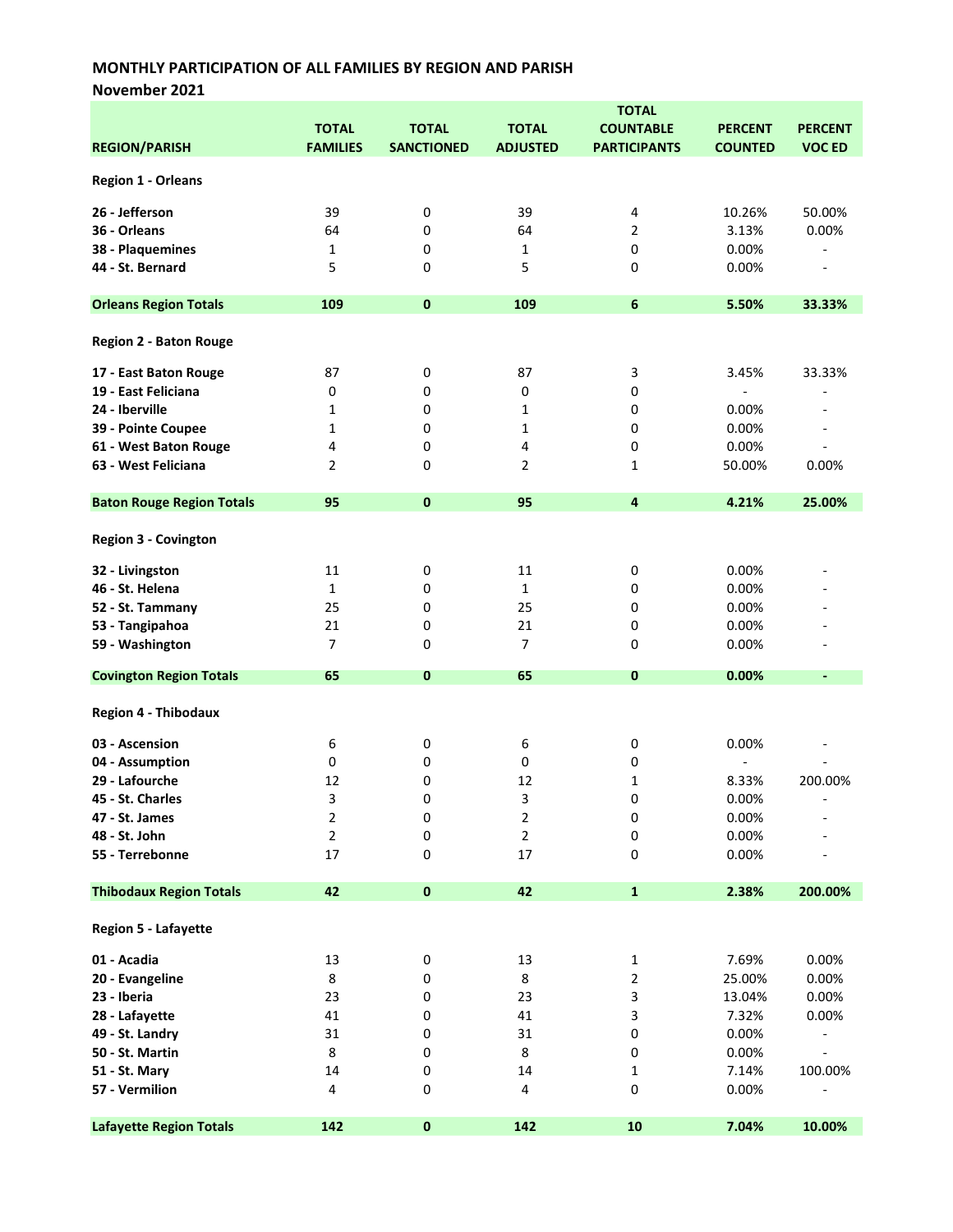November 2021

|                                  |                 |                   | <b>TOTAL</b>    |                     |                          |                          |  |
|----------------------------------|-----------------|-------------------|-----------------|---------------------|--------------------------|--------------------------|--|
|                                  | <b>TOTAL</b>    | <b>TOTAL</b>      | <b>TOTAL</b>    | <b>COUNTABLE</b>    | <b>PERCENT</b>           | <b>PERCENT</b>           |  |
| <b>REGION/PARISH</b>             | <b>FAMILIES</b> | <b>SANCTIONED</b> | <b>ADJUSTED</b> | <b>PARTICIPANTS</b> | <b>COUNTED</b>           | <b>VOC ED</b>            |  |
|                                  |                 |                   |                 |                     |                          |                          |  |
| <b>Region 1 - Orleans</b>        |                 |                   |                 |                     |                          |                          |  |
| 26 - Jefferson                   | 39              | 0                 | 39              | 4                   | 10.26%                   | 50.00%                   |  |
| 36 - Orleans                     | 64              | 0                 | 64              | 2                   | 3.13%                    | 0.00%                    |  |
|                                  |                 |                   |                 |                     |                          |                          |  |
| 38 - Plaquemines                 | $\mathbf{1}$    | 0                 | 1               | 0                   | 0.00%                    | $\overline{a}$           |  |
| 44 - St. Bernard                 | 5               | 0                 | 5               | 0                   | 0.00%                    | $\overline{a}$           |  |
| <b>Orleans Region Totals</b>     | 109             | $\mathbf{0}$      | 109             | $\boldsymbol{6}$    | 5.50%                    | 33.33%                   |  |
| <b>Region 2 - Baton Rouge</b>    |                 |                   |                 |                     |                          |                          |  |
| 17 - East Baton Rouge            | 87              | 0                 | 87              | 3                   | 3.45%                    | 33.33%                   |  |
| 19 - East Feliciana              | 0               | 0                 | 0               | 0                   | $\overline{\phantom{a}}$ |                          |  |
| 24 - Iberville                   | 1               | 0                 | $\mathbf{1}$    | 0                   | 0.00%                    |                          |  |
| 39 - Pointe Coupee               | 1               | 0                 | $\mathbf{1}$    | 0                   | 0.00%                    |                          |  |
|                                  |                 |                   |                 |                     |                          |                          |  |
| 61 - West Baton Rouge            | 4               | 0                 | 4               | 0                   | 0.00%                    | $\overline{a}$           |  |
| 63 - West Feliciana              | $\overline{2}$  | 0                 | $\overline{2}$  | 1                   | 50.00%                   | 0.00%                    |  |
| <b>Baton Rouge Region Totals</b> | 95              | $\mathbf 0$       | 95              | $\overline{4}$      | 4.21%                    | 25.00%                   |  |
| <b>Region 3 - Covington</b>      |                 |                   |                 |                     |                          |                          |  |
| 32 - Livingston                  | 11              | 0                 | 11              | 0                   | 0.00%                    |                          |  |
| 46 - St. Helena                  | $\mathbf 1$     | 0                 | $\mathbf{1}$    | 0                   | 0.00%                    |                          |  |
| 52 - St. Tammany                 | 25              | 0                 | 25              | 0                   | 0.00%                    |                          |  |
|                                  |                 |                   |                 |                     |                          |                          |  |
| 53 - Tangipahoa                  | 21              | 0                 | 21              | 0                   | 0.00%                    |                          |  |
| 59 - Washington                  | $\overline{7}$  | 0                 | 7               | 0                   | 0.00%                    |                          |  |
| <b>Covington Region Totals</b>   | 65              | 0                 | 65              | 0                   | 0.00%                    | $\blacksquare$           |  |
| <b>Region 4 - Thibodaux</b>      |                 |                   |                 |                     |                          |                          |  |
| 03 - Ascension                   | 6               | 0                 | 6               | 0                   | 0.00%                    |                          |  |
| 04 - Assumption                  | 0               | 0                 | 0               | 0                   | $\overline{a}$           |                          |  |
| 29 - Lafourche                   | 12              | 0                 | 12              | 1                   | 8.33%                    | 200.00%                  |  |
|                                  |                 | 0                 | 3               | 0                   | 0.00%                    |                          |  |
| 45 - St. Charles                 | 3               |                   |                 |                     |                          |                          |  |
| 47 - St. James                   | 2               | 0                 | $\overline{2}$  | 0                   | 0.00%                    |                          |  |
| 48 - St. John                    | 2               | 0                 | $\mathbf{2}$    | 0                   | 0.00%                    |                          |  |
| 55 - Terrebonne                  | 17              | 0                 | 17              | 0                   | 0.00%                    |                          |  |
| <b>Thibodaux Region Totals</b>   | 42              | $\pmb{0}$         | 42              | $\mathbf{1}$        | 2.38%                    | 200.00%                  |  |
| Region 5 - Lafayette             |                 |                   |                 |                     |                          |                          |  |
| 01 - Acadia                      | 13              | 0                 | 13              | $\mathbf{1}$        | 7.69%                    | 0.00%                    |  |
| 20 - Evangeline                  | 8               | 0                 | 8               | 2                   | 25.00%                   | 0.00%                    |  |
| 23 - Iberia                      | 23              | 0                 | 23              | 3                   | 13.04%                   | 0.00%                    |  |
|                                  | 41              |                   | 41              |                     |                          |                          |  |
| 28 - Lafayette                   |                 | 0                 |                 | 3                   | 7.32%                    | 0.00%                    |  |
| 49 - St. Landry                  | 31              | 0                 | 31              | 0                   | 0.00%                    |                          |  |
| 50 - St. Martin                  | 8               | 0                 | $\bf 8$         | 0                   | 0.00%                    | $\overline{\phantom{a}}$ |  |
| 51 - St. Mary                    | 14              | 0                 | 14              | 1                   | 7.14%                    | 100.00%                  |  |
| 57 - Vermilion                   | 4               | 0                 | 4               | 0                   | 0.00%                    |                          |  |
| <b>Lafayette Region Totals</b>   | 142             | $\pmb{0}$         | 142             | 10                  | 7.04%                    | 10.00%                   |  |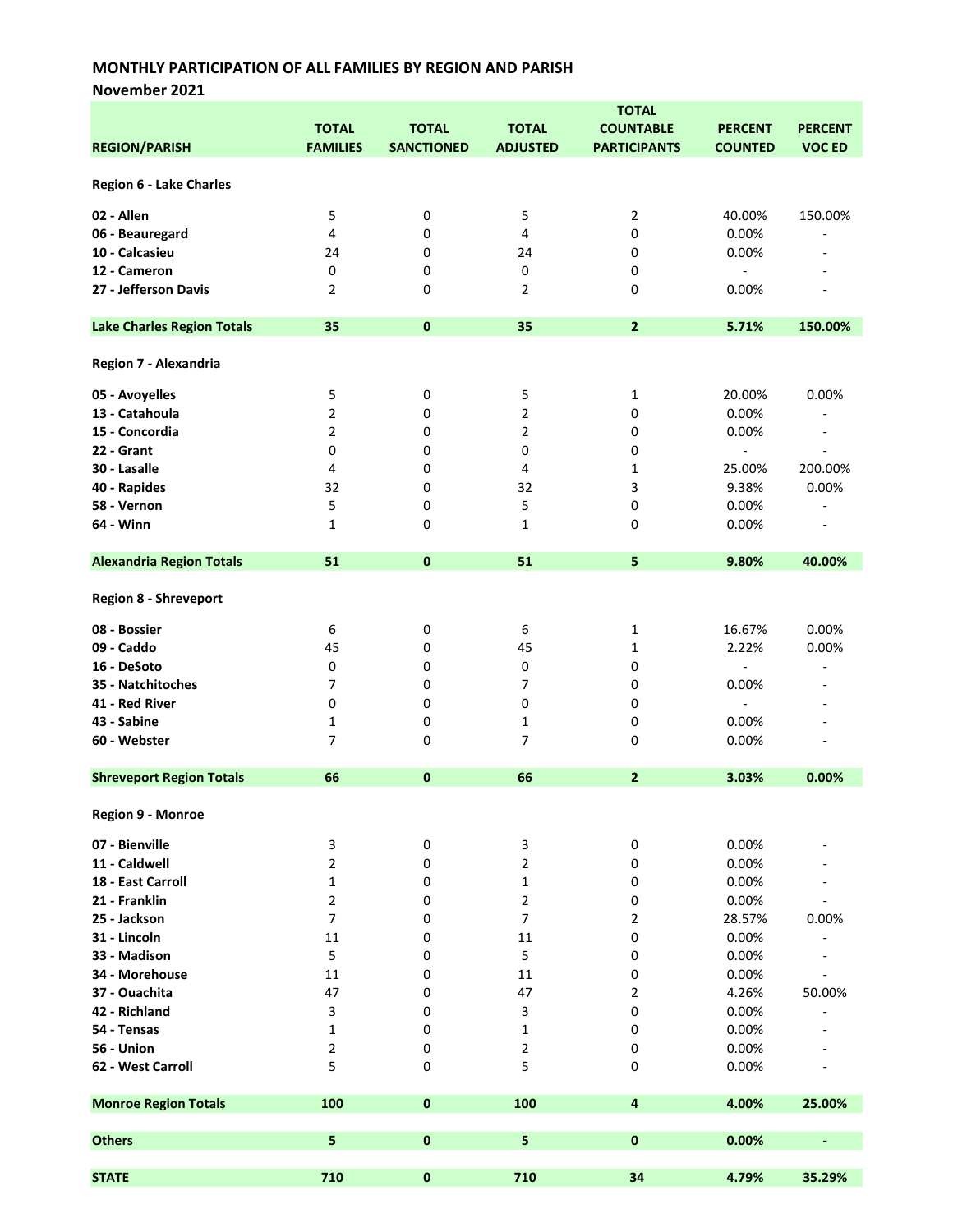November 2021

|                                   |                 |                   |                         | <b>TOTAL</b>        |                              |                              |
|-----------------------------------|-----------------|-------------------|-------------------------|---------------------|------------------------------|------------------------------|
|                                   | <b>TOTAL</b>    | <b>TOTAL</b>      | <b>TOTAL</b>            | <b>COUNTABLE</b>    | <b>PERCENT</b>               | <b>PERCENT</b>               |
| <b>REGION/PARISH</b>              | <b>FAMILIES</b> | <b>SANCTIONED</b> | <b>ADJUSTED</b>         | <b>PARTICIPANTS</b> | <b>COUNTED</b>               | <b>VOC ED</b>                |
|                                   |                 |                   |                         |                     |                              |                              |
| Region 6 - Lake Charles           |                 |                   |                         |                     |                              |                              |
|                                   |                 |                   |                         |                     |                              |                              |
| 02 - Allen                        | 5               | 0                 | 5                       | 2                   | 40.00%                       | 150.00%                      |
| 06 - Beauregard                   | 4               | 0                 | $\overline{\mathbf{4}}$ | 0                   | 0.00%                        |                              |
| 10 - Calcasieu                    | 24              | 0                 | 24                      | 0                   | 0.00%                        |                              |
| 12 - Cameron                      | 0               | 0                 | 0                       | 0                   | $\qquad \qquad \blacksquare$ |                              |
| 27 - Jefferson Davis              | $\overline{2}$  | 0                 | $\overline{2}$          | 0                   | 0.00%                        |                              |
|                                   |                 |                   |                         |                     |                              |                              |
|                                   |                 |                   |                         |                     |                              |                              |
| <b>Lake Charles Region Totals</b> | 35              | $\pmb{0}$         | 35                      | $\mathbf{2}$        | 5.71%                        | 150.00%                      |
|                                   |                 |                   |                         |                     |                              |                              |
| Region 7 - Alexandria             |                 |                   |                         |                     |                              |                              |
|                                   |                 |                   |                         |                     |                              |                              |
| 05 - Avoyelles                    | 5               | 0                 | 5                       | 1                   | 20.00%                       | 0.00%                        |
| 13 - Catahoula                    | 2               | 0                 | 2                       | 0                   | 0.00%                        |                              |
| 15 - Concordia                    | $\overline{2}$  | 0                 | $\overline{2}$          | 0                   | 0.00%                        | ۰                            |
| 22 - Grant                        | 0               | 0                 | 0                       | 0                   | $\overline{\phantom{a}}$     | ÷                            |
| 30 - Lasalle                      | 4               | 0                 | $\overline{\mathbf{4}}$ | 1                   | 25.00%                       | 200.00%                      |
| 40 - Rapides                      | 32              | 0                 | 32                      | 3                   | 9.38%                        | 0.00%                        |
| 58 - Vernon                       | 5               | 0                 | 5                       | 0                   | 0.00%                        |                              |
| 64 - Winn                         | $\mathbf{1}$    | 0                 | $\mathbf{1}$            | 0                   | 0.00%                        |                              |
|                                   |                 |                   |                         |                     |                              |                              |
| <b>Alexandria Region Totals</b>   | 51              | $\mathbf{0}$      | 51                      | 5                   | 9.80%                        | 40.00%                       |
|                                   |                 |                   |                         |                     |                              |                              |
| <b>Region 8 - Shreveport</b>      |                 |                   |                         |                     |                              |                              |
|                                   |                 |                   |                         |                     |                              |                              |
| 08 - Bossier                      | 6               | 0                 | 6                       | 1                   | 16.67%                       | 0.00%                        |
| 09 - Caddo                        | 45              | 0                 | 45                      | 1                   | 2.22%                        | 0.00%                        |
| 16 - DeSoto                       | 0               | 0                 | 0                       | 0                   | $\overline{a}$               | $\overline{a}$               |
|                                   | 7               |                   |                         |                     |                              |                              |
| 35 - Natchitoches                 |                 | 0                 | $\overline{7}$          | 0                   | 0.00%                        |                              |
| 41 - Red River                    | 0               | 0                 | 0                       | 0                   | $\overline{\phantom{a}}$     |                              |
| 43 - Sabine                       | 1               | 0                 | 1                       | 0                   | 0.00%                        |                              |
| 60 - Webster                      | $\overline{7}$  | 0                 | 7                       | 0                   | 0.00%                        | ٠                            |
|                                   |                 |                   |                         |                     |                              |                              |
| <b>Shreveport Region Totals</b>   | 66              | $\pmb{0}$         | 66                      | $\overline{2}$      | 3.03%                        | 0.00%                        |
|                                   |                 |                   |                         |                     |                              |                              |
| Region 9 - Monroe                 |                 |                   |                         |                     |                              |                              |
|                                   |                 |                   |                         |                     |                              |                              |
| 07 - Bienville                    | 3               | 0                 | 3                       | 0                   | 0.00%                        |                              |
| 11 - Caldwell                     | 2               | 0                 | $\mathbf{2}$            | 0                   | 0.00%                        |                              |
| 18 - East Carroll                 | 1               | 0                 | $\mathbf{1}$            | 0                   | 0.00%                        |                              |
| 21 - Franklin                     | 2               | 0                 | $\mathbf 2$             | 0                   | 0.00%                        |                              |
| 25 - Jackson                      | $\overline{7}$  | 0                 | $\overline{7}$          | 2                   | 28.57%                       | 0.00%                        |
| 31 - Lincoln                      | 11              | 0                 | 11                      | 0                   | 0.00%                        |                              |
| 33 - Madison                      | 5               | 0                 | 5                       | 0                   | 0.00%                        |                              |
| 34 - Morehouse                    | 11              | 0                 | 11                      | 0                   | 0.00%                        |                              |
| 37 - Ouachita                     | 47              | 0                 | 47                      | 2                   | 4.26%                        | 50.00%                       |
|                                   |                 |                   |                         |                     |                              |                              |
| 42 - Richland                     | 3               | 0                 | 3                       | 0                   | 0.00%                        |                              |
| 54 - Tensas                       | $\mathbf 1$     | 0                 | $\mathbf{1}$            | 0                   | 0.00%                        |                              |
| 56 - Union                        | 2               | 0                 | $\mathbf 2$             | 0                   | 0.00%                        |                              |
| 62 - West Carroll                 | 5               | 0                 | 5                       | 0                   | 0.00%                        |                              |
|                                   |                 |                   |                         |                     |                              |                              |
| <b>Monroe Region Totals</b>       | 100             | $\pmb{0}$         | 100                     | 4                   | 4.00%                        | 25.00%                       |
|                                   |                 |                   |                         |                     |                              |                              |
| <b>Others</b>                     | 5               | $\pmb{0}$         | 5                       | $\pmb{0}$           | 0.00%                        | $\qquad \qquad \blacksquare$ |
|                                   |                 |                   |                         |                     |                              |                              |
| <b>STATE</b>                      | 710             | $\pmb{0}$         | 710                     | 34                  | 4.79%                        | 35.29%                       |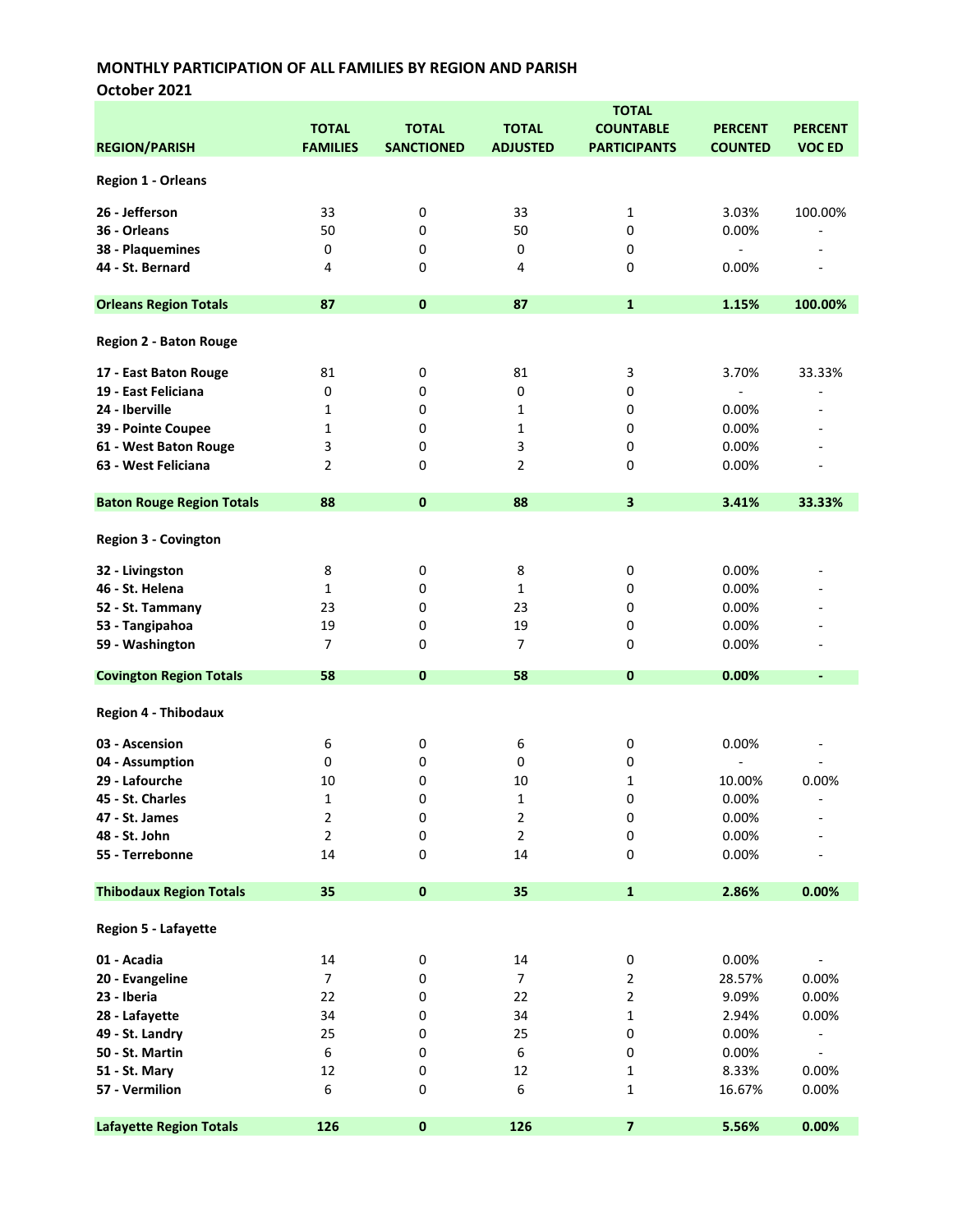October 2021

|                                  |                 |                   |                  | <b>TOTAL</b>            |                          |                          |
|----------------------------------|-----------------|-------------------|------------------|-------------------------|--------------------------|--------------------------|
|                                  | <b>TOTAL</b>    | <b>TOTAL</b>      | <b>TOTAL</b>     | <b>COUNTABLE</b>        | <b>PERCENT</b>           | <b>PERCENT</b>           |
| <b>REGION/PARISH</b>             | <b>FAMILIES</b> | <b>SANCTIONED</b> | <b>ADJUSTED</b>  | <b>PARTICIPANTS</b>     | <b>COUNTED</b>           | <b>VOC ED</b>            |
|                                  |                 |                   |                  |                         |                          |                          |
| <b>Region 1 - Orleans</b>        |                 |                   |                  |                         |                          |                          |
| 26 - Jefferson                   | 33              | 0                 | 33               | 1                       | 3.03%                    | 100.00%                  |
| 36 - Orleans                     | 50              | 0                 | 50               | 0                       | 0.00%                    |                          |
|                                  | $\mathbf 0$     |                   |                  |                         |                          |                          |
| 38 - Plaquemines                 |                 | 0                 | 0                | 0                       |                          | $\overline{\phantom{a}}$ |
| 44 - St. Bernard                 | 4               | 0                 | 4                | 0                       | 0.00%                    | $\blacksquare$           |
| <b>Orleans Region Totals</b>     | 87              | $\pmb{0}$         | 87               | $\mathbf{1}$            | 1.15%                    | 100.00%                  |
|                                  |                 |                   |                  |                         |                          |                          |
| <b>Region 2 - Baton Rouge</b>    |                 |                   |                  |                         |                          |                          |
| 17 - East Baton Rouge            | 81              | 0                 | 81               | 3                       | 3.70%                    | 33.33%                   |
| 19 - East Feliciana              | 0               | 0                 | 0                | 0                       | $\overline{\phantom{a}}$ |                          |
| 24 - Iberville                   | 1               | 0                 | 1                | 0                       | 0.00%                    |                          |
| 39 - Pointe Coupee               | $\mathbf{1}$    | 0                 | 1                | 0                       | 0.00%                    |                          |
| 61 - West Baton Rouge            | 3               | 0                 | 3                | 0                       | 0.00%                    |                          |
| 63 - West Feliciana              | $\overline{2}$  | 0                 | $\overline{2}$   | 0                       | 0.00%                    |                          |
|                                  |                 |                   |                  |                         |                          |                          |
| <b>Baton Rouge Region Totals</b> | 88              | $\mathbf 0$       | 88               | $\overline{\mathbf{3}}$ | 3.41%                    | 33.33%                   |
|                                  |                 |                   |                  |                         |                          |                          |
| Region 3 - Covington             |                 |                   |                  |                         |                          |                          |
| 32 - Livingston                  | 8               | 0                 | 8                | 0                       | 0.00%                    |                          |
| 46 - St. Helena                  | $\mathbf{1}$    | 0                 | $\mathbf{1}$     | 0                       | 0.00%                    |                          |
| 52 - St. Tammany                 | 23              | 0                 | 23               | 0                       | 0.00%                    |                          |
| 53 - Tangipahoa                  | 19              | 0                 | 19               | 0                       | 0.00%                    |                          |
| 59 - Washington                  | $\overline{7}$  | 0                 | 7                | 0                       | 0.00%                    |                          |
|                                  |                 |                   |                  |                         |                          |                          |
| <b>Covington Region Totals</b>   | 58              | 0                 | 58               | 0                       | 0.00%                    | ٠                        |
| <b>Region 4 - Thibodaux</b>      |                 |                   |                  |                         |                          |                          |
| 03 - Ascension                   | 6               | 0                 | 6                | 0                       | 0.00%                    |                          |
| 04 - Assumption                  | 0               | 0                 | 0                | 0                       |                          |                          |
| 29 - Lafourche                   | 10              | 0                 | 10               | 1                       | 10.00%                   | 0.00%                    |
| 45 - St. Charles                 | $\mathbf{1}$    | 0                 | $\mathbf{1}$     | 0                       | 0.00%                    |                          |
| 47 - St. James                   | 2               | 0                 | $\mathbf 2$      | 0                       | 0.00%                    |                          |
| 48 - St. John                    | $\overline{2}$  | $\pmb{0}$         | $\mathbf 2$      | 0                       | 0.00%                    |                          |
| 55 - Terrebonne                  | 14              | 0                 | 14               | 0                       | 0.00%                    |                          |
|                                  |                 |                   |                  |                         |                          |                          |
| <b>Thibodaux Region Totals</b>   | 35              | $\pmb{0}$         | 35               | $\mathbf{1}$            | 2.86%                    | 0.00%                    |
| Region 5 - Lafayette             |                 |                   |                  |                         |                          |                          |
| 01 - Acadia                      | 14              | 0                 | 14               | 0                       | 0.00%                    |                          |
| 20 - Evangeline                  | $\overline{7}$  | 0                 | $\boldsymbol{7}$ | 2                       | 28.57%                   | 0.00%                    |
| 23 - Iberia                      | 22              | 0                 | 22               | 2                       | 9.09%                    | 0.00%                    |
| 28 - Lafayette                   | 34              | 0                 | 34               | 1                       |                          | 0.00%                    |
|                                  |                 |                   | 25               | 0                       | 2.94%                    |                          |
| 49 - St. Landry                  | 25              | 0                 |                  |                         | 0.00%                    |                          |
| 50 - St. Martin                  | 6               | 0                 | 6                | 0                       | 0.00%                    | $\overline{\phantom{a}}$ |
| 51 - St. Mary                    | 12              | 0                 | 12               | 1                       | 8.33%                    | 0.00%                    |
| 57 - Vermilion                   | 6               | 0                 | 6                | 1                       | 16.67%                   | 0.00%                    |
| <b>Lafayette Region Totals</b>   | 126             | $\pmb{0}$         | 126              | $\overline{7}$          | 5.56%                    | 0.00%                    |
|                                  |                 |                   |                  |                         |                          |                          |